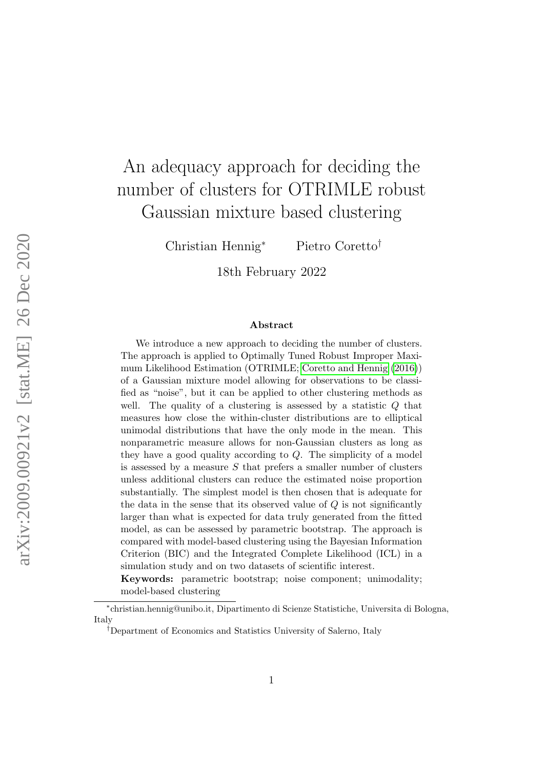# An adequacy approach for deciding the number of clusters for OTRIMLE robust Gaussian mixture based clustering

Christian Hennig<sup>∗</sup> Pietro Coretto†

18th February 2022

#### Abstract

We introduce a new approach to deciding the number of clusters. The approach is applied to Optimally Tuned Robust Improper Maximum Likelihood Estimation (OTRIMLE; [Coretto and Hennig](#page-31-0) [\(2016\)](#page-31-0)) of a Gaussian mixture model allowing for observations to be classified as "noise", but it can be applied to other clustering methods as well. The quality of a clustering is assessed by a statistic  $Q$  that measures how close the within-cluster distributions are to elliptical unimodal distributions that have the only mode in the mean. This nonparametric measure allows for non-Gaussian clusters as long as they have a good quality according to Q. The simplicity of a model is assessed by a measure  $S$  that prefers a smaller number of clusters unless additional clusters can reduce the estimated noise proportion substantially. The simplest model is then chosen that is adequate for the data in the sense that its observed value of Q is not significantly larger than what is expected for data truly generated from the fitted model, as can be assessed by parametric bootstrap. The approach is compared with model-based clustering using the Bayesian Information Criterion (BIC) and the Integrated Complete Likelihood (ICL) in a simulation study and on two datasets of scientific interest.

Keywords: parametric bootstrap; noise component; unimodality; model-based clustering

<sup>∗</sup> christian.hennig@unibo.it, Dipartimento di Scienze Statistiche, Universita di Bologna, Italy

<sup>†</sup>Department of Economics and Statistics University of Salerno, Italy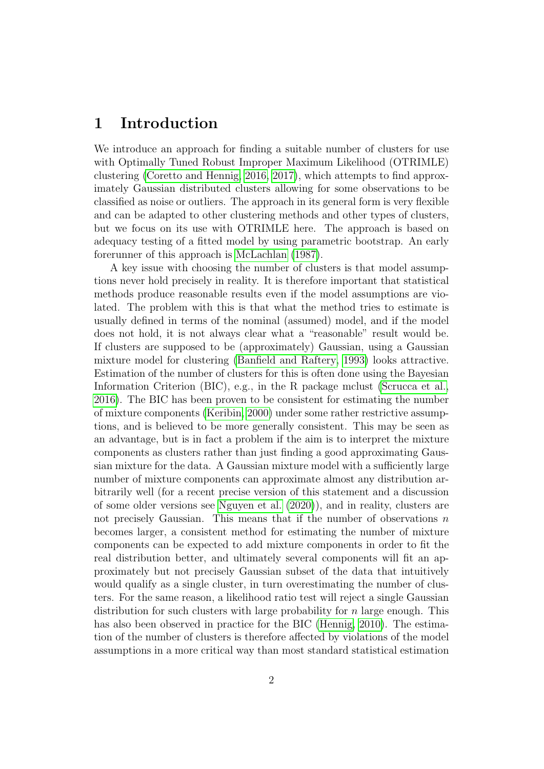## 1 Introduction

We introduce an approach for finding a suitable number of clusters for use with Optimally Tuned Robust Improper Maximum Likelihood (OTRIMLE) clustering [\(Coretto and Hennig, 2016,](#page-31-0) [2017\)](#page-31-1), which attempts to find approximately Gaussian distributed clusters allowing for some observations to be classified as noise or outliers. The approach in its general form is very flexible and can be adapted to other clustering methods and other types of clusters, but we focus on its use with OTRIMLE here. The approach is based on adequacy testing of a fitted model by using parametric bootstrap. An early forerunner of this approach is [McLachlan](#page-33-0) [\(1987\)](#page-33-0).

A key issue with choosing the number of clusters is that model assumptions never hold precisely in reality. It is therefore important that statistical methods produce reasonable results even if the model assumptions are violated. The problem with this is that what the method tries to estimate is usually defined in terms of the nominal (assumed) model, and if the model does not hold, it is not always clear what a "reasonable" result would be. If clusters are supposed to be (approximately) Gaussian, using a Gaussian mixture model for clustering [\(Banfield and Raftery, 1993\)](#page-30-0) looks attractive. Estimation of the number of clusters for this is often done using the Bayesian Information Criterion (BIC), e.g., in the R package mclust [\(Scrucca et al.,](#page-33-1) [2016\)](#page-33-1). The BIC has been proven to be consistent for estimating the number of mixture components [\(Keribin, 2000\)](#page-33-2) under some rather restrictive assumptions, and is believed to be more generally consistent. This may be seen as an advantage, but is in fact a problem if the aim is to interpret the mixture components as clusters rather than just finding a good approximating Gaussian mixture for the data. A Gaussian mixture model with a sufficiently large number of mixture components can approximate almost any distribution arbitrarily well (for a recent precise version of this statement and a discussion of some older versions see [Nguyen et al.](#page-33-3) [\(2020\)](#page-33-3)), and in reality, clusters are not precisely Gaussian. This means that if the number of observations  $n$ becomes larger, a consistent method for estimating the number of mixture components can be expected to add mixture components in order to fit the real distribution better, and ultimately several components will fit an approximately but not precisely Gaussian subset of the data that intuitively would qualify as a single cluster, in turn overestimating the number of clusters. For the same reason, a likelihood ratio test will reject a single Gaussian distribution for such clusters with large probability for  $n$  large enough. This has also been observed in practice for the BIC [\(Hennig, 2010\)](#page-32-0). The estimation of the number of clusters is therefore affected by violations of the model assumptions in a more critical way than most standard statistical estimation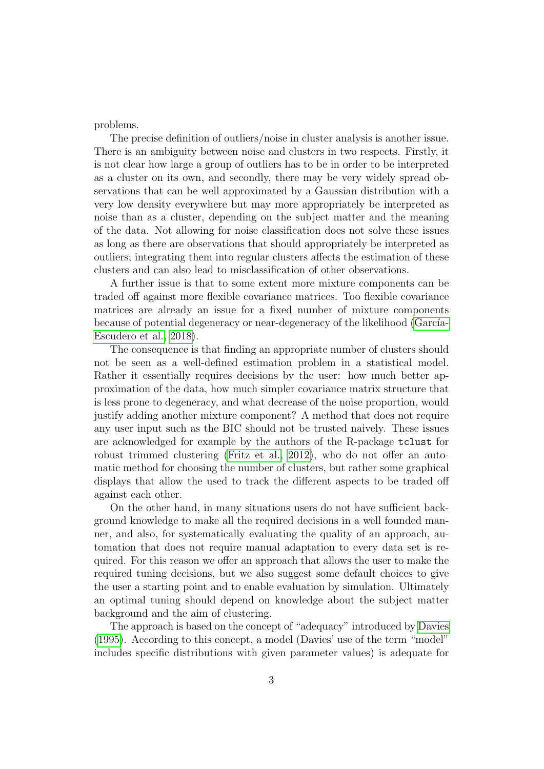problems.

The precise definition of outliers/noise in cluster analysis is another issue. There is an ambiguity between noise and clusters in two respects. Firstly, it is not clear how large a group of outliers has to be in order to be interpreted as a cluster on its own, and secondly, there may be very widely spread observations that can be well approximated by a Gaussian distribution with a very low density everywhere but may more appropriately be interpreted as noise than as a cluster, depending on the subject matter and the meaning of the data. Not allowing for noise classification does not solve these issues as long as there are observations that should appropriately be interpreted as outliers; integrating them into regular clusters affects the estimation of these clusters and can also lead to misclassification of other observations.

A further issue is that to some extent more mixture components can be traded off against more flexible covariance matrices. Too flexible covariance matrices are already an issue for a fixed number of mixture components because of potential degeneracy or near-degeneracy of the likelihood (García-[Escudero et al., 2018\)](#page-32-1).

The consequence is that finding an appropriate number of clusters should not be seen as a well-defined estimation problem in a statistical model. Rather it essentially requires decisions by the user: how much better approximation of the data, how much simpler covariance matrix structure that is less prone to degeneracy, and what decrease of the noise proportion, would justify adding another mixture component? A method that does not require any user input such as the BIC should not be trusted naively. These issues are acknowledged for example by the authors of the R-package tclust for robust trimmed clustering [\(Fritz et al., 2012\)](#page-32-2), who do not offer an automatic method for choosing the number of clusters, but rather some graphical displays that allow the used to track the different aspects to be traded off against each other.

On the other hand, in many situations users do not have sufficient background knowledge to make all the required decisions in a well founded manner, and also, for systematically evaluating the quality of an approach, automation that does not require manual adaptation to every data set is required. For this reason we offer an approach that allows the user to make the required tuning decisions, but we also suggest some default choices to give the user a starting point and to enable evaluation by simulation. Ultimately an optimal tuning should depend on knowledge about the subject matter background and the aim of clustering.

The approach is based on the concept of "adequacy" introduced by [Davies](#page-31-2) [\(1995\)](#page-31-2). According to this concept, a model (Davies' use of the term "model" includes specific distributions with given parameter values) is adequate for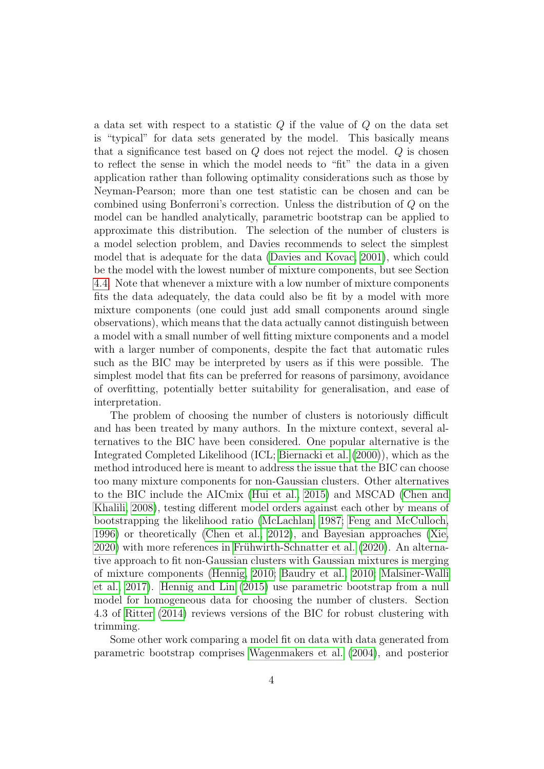a data set with respect to a statistic  $Q$  if the value of  $Q$  on the data set is "typical" for data sets generated by the model. This basically means that a significance test based on  $Q$  does not reject the model.  $Q$  is chosen to reflect the sense in which the model needs to "fit" the data in a given application rather than following optimality considerations such as those by Neyman-Pearson; more than one test statistic can be chosen and can be combined using Bonferroni's correction. Unless the distribution of Q on the model can be handled analytically, parametric bootstrap can be applied to approximate this distribution. The selection of the number of clusters is a model selection problem, and Davies recommends to select the simplest model that is adequate for the data [\(Davies and Kovac, 2001\)](#page-31-3), which could be the model with the lowest number of mixture components, but see Section [4.4.](#page-16-0) Note that whenever a mixture with a low number of mixture components fits the data adequately, the data could also be fit by a model with more mixture components (one could just add small components around single observations), which means that the data actually cannot distinguish between a model with a small number of well fitting mixture components and a model with a larger number of components, despite the fact that automatic rules such as the BIC may be interpreted by users as if this were possible. The simplest model that fits can be preferred for reasons of parsimony, avoidance of overfitting, potentially better suitability for generalisation, and ease of interpretation.

The problem of choosing the number of clusters is notoriously difficult and has been treated by many authors. In the mixture context, several alternatives to the BIC have been considered. One popular alternative is the Integrated Completed Likelihood (ICL; [Biernacki et al.](#page-30-1) [\(2000\)](#page-30-1)), which as the method introduced here is meant to address the issue that the BIC can choose too many mixture components for non-Gaussian clusters. Other alternatives to the BIC include the AICmix [\(Hui et al., 2015\)](#page-33-4) and MSCAD [\(Chen and](#page-31-4) [Khalili, 2008\)](#page-31-4), testing different model orders against each other by means of bootstrapping the likelihood ratio [\(McLachlan, 1987;](#page-33-0) [Feng and McCulloch,](#page-31-5) [1996\)](#page-31-5) or theoretically [\(Chen et al., 2012\)](#page-31-6), and Bayesian approaches [\(Xie,](#page-34-0) [2020\)](#page-34-0) with more references in Frühwirth-Schnatter et al. [\(2020\)](#page-32-3). An alternative approach to fit non-Gaussian clusters with Gaussian mixtures is merging of mixture components [\(Hennig, 2010;](#page-32-0) [Baudry et al., 2010;](#page-30-2) [Malsiner-Walli](#page-33-5) [et al., 2017\)](#page-33-5). [Hennig and Lin](#page-32-4) [\(2015\)](#page-32-4) use parametric bootstrap from a null model for homogeneous data for choosing the number of clusters. Section 4.3 of [Ritter](#page-33-6) [\(2014\)](#page-33-6) reviews versions of the BIC for robust clustering with trimming.

Some other work comparing a model fit on data with data generated from parametric bootstrap comprises [Wagenmakers et al.](#page-34-1) [\(2004\)](#page-34-1), and posterior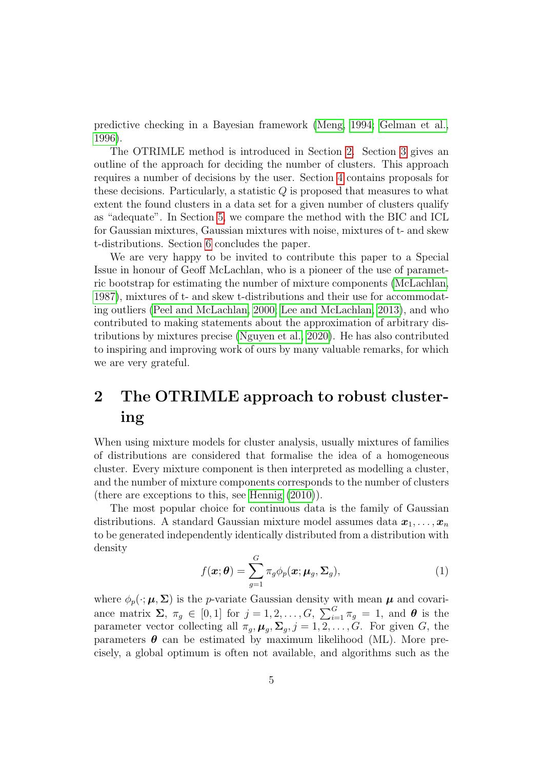predictive checking in a Bayesian framework [\(Meng, 1994;](#page-33-7) [Gelman et al.,](#page-32-5) [1996\)](#page-32-5).

The OTRIMLE method is introduced in Section [2.](#page-4-0) Section [3](#page-7-0) gives an outline of the approach for deciding the number of clusters. This approach requires a number of decisions by the user. Section [4](#page-10-0) contains proposals for these decisions. Particularly, a statistic  $Q$  is proposed that measures to what extent the found clusters in a data set for a given number of clusters qualify as "adequate". In Section [5,](#page-16-1) we compare the method with the BIC and ICL for Gaussian mixtures, Gaussian mixtures with noise, mixtures of t- and skew t-distributions. Section [6](#page-29-0) concludes the paper.

We are very happy to be invited to contribute this paper to a Special Issue in honour of Geoff McLachlan, who is a pioneer of the use of parametric bootstrap for estimating the number of mixture components [\(McLachlan,](#page-33-0) [1987\)](#page-33-0), mixtures of t- and skew t-distributions and their use for accommodating outliers [\(Peel and McLachlan, 2000;](#page-33-8) [Lee and McLachlan, 2013\)](#page-33-9), and who contributed to making statements about the approximation of arbitrary distributions by mixtures precise [\(Nguyen et al., 2020\)](#page-33-3). He has also contributed to inspiring and improving work of ours by many valuable remarks, for which we are very grateful.

## <span id="page-4-0"></span>2 The OTRIMLE approach to robust clustering

When using mixture models for cluster analysis, usually mixtures of families of distributions are considered that formalise the idea of a homogeneous cluster. Every mixture component is then interpreted as modelling a cluster, and the number of mixture components corresponds to the number of clusters (there are exceptions to this, see [Hennig](#page-32-0) [\(2010\)](#page-32-0)).

The most popular choice for continuous data is the family of Gaussian distributions. A standard Gaussian mixture model assumes data  $x_1, \ldots, x_n$ to be generated independently identically distributed from a distribution with density

<span id="page-4-1"></span>
$$
f(\boldsymbol{x};\boldsymbol{\theta}) = \sum_{g=1}^{G} \pi_g \phi_p(\boldsymbol{x};\boldsymbol{\mu}_g, \boldsymbol{\Sigma}_g),
$$
\n(1)

where  $\phi_p(\cdot;\mu,\Sigma)$  is the *p*-variate Gaussian density with mean  $\mu$  and covariance matrix  $\Sigma$ ,  $\pi_g \in [0,1]$  for  $j=1,2,\ldots,G$ ,  $\sum_{i=1}^G \pi_g = 1$ , and  $\boldsymbol{\theta}$  is the parameter vector collecting all  $\pi_q$ ,  $\mu_q$ ,  $\Sigma_q$ ,  $j = 1, 2, \ldots, G$ . For given G, the parameters  $\theta$  can be estimated by maximum likelihood (ML). More precisely, a global optimum is often not available, and algorithms such as the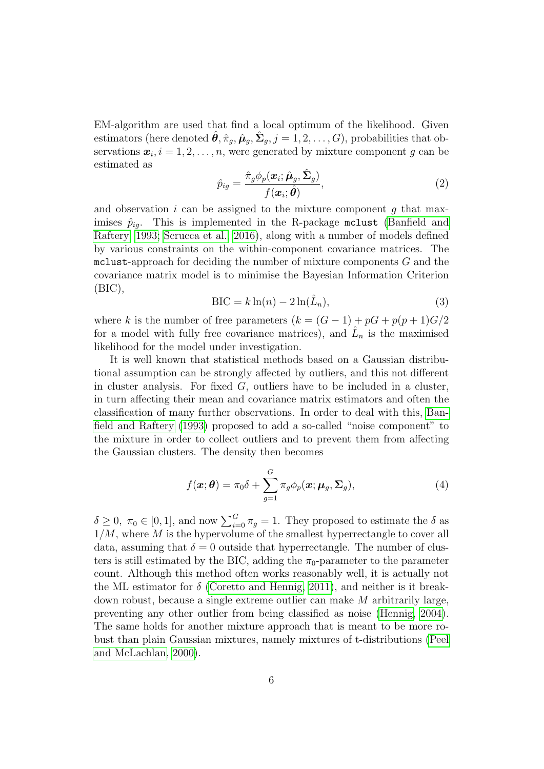EM-algorithm are used that find a local optimum of the likelihood. Given estimators (here denoted  $\hat{\theta}, \hat{\pi}_g, \hat{\mu}_g, \hat{\Sigma}_g, j = 1, 2, \dots, G$ ), probabilities that observations  $\boldsymbol{x}_i, i = 1, 2, \ldots, n$ , were generated by mixture component g can be estimated as

<span id="page-5-0"></span>
$$
\hat{p}_{ig} = \frac{\hat{\pi}_g \phi_p(\boldsymbol{x}_i; \hat{\boldsymbol{\mu}}_g, \hat{\boldsymbol{\Sigma}}_g)}{f(\boldsymbol{x}_i; \hat{\boldsymbol{\theta}})},
$$
\n(2)

and observation  $i$  can be assigned to the mixture component  $g$  that maximises  $\hat{p}_{iq}$ . This is implemented in the R-package mclust [\(Banfield and](#page-30-0) [Raftery, 1993;](#page-30-0) [Scrucca et al., 2016\)](#page-33-1), along with a number of models defined by various constraints on the within-component covariance matrices. The  $mclust-approx$  for deciding the number of mixture components  $G$  and the covariance matrix model is to minimise the Bayesian Information Criterion (BIC),

$$
BIC = k \ln(n) - 2 \ln(\hat{L}_n),\tag{3}
$$

where k is the number of free parameters  $(k = (G - 1) + pG + p(p + 1)G/2$ for a model with fully free covariance matrices), and  $\hat{L}_n$  is the maximised likelihood for the model under investigation.

It is well known that statistical methods based on a Gaussian distributional assumption can be strongly affected by outliers, and this not different in cluster analysis. For fixed  $G$ , outliers have to be included in a cluster, in turn affecting their mean and covariance matrix estimators and often the classification of many further observations. In order to deal with this, [Ban](#page-30-0)[field and Raftery](#page-30-0) [\(1993\)](#page-30-0) proposed to add a so-called "noise component" to the mixture in order to collect outliers and to prevent them from affecting the Gaussian clusters. The density then becomes

<span id="page-5-1"></span>
$$
f(\boldsymbol{x};\boldsymbol{\theta}) = \pi_0 \delta + \sum_{g=1}^{G} \pi_g \phi_p(\boldsymbol{x}; \boldsymbol{\mu}_g, \boldsymbol{\Sigma}_g),
$$
(4)

 $\delta \geq 0, \ \pi_0 \in [0,1],$  and now  $\sum_{i=0}^{G} \pi_g = 1$ . They proposed to estimate the  $\delta$  as  $1/M$ , where M is the hypervolume of the smallest hyperrectangle to cover all data, assuming that  $\delta = 0$  outside that hyperrectangle. The number of clusters is still estimated by the BIC, adding the  $\pi_0$ -parameter to the parameter count. Although this method often works reasonably well, it is actually not the ML estimator for  $\delta$  [\(Coretto and Hennig, 2011\)](#page-31-7), and neither is it breakdown robust, because a single extreme outlier can make M arbitrarily large, preventing any other outlier from being classified as noise [\(Hennig, 2004\)](#page-32-6). The same holds for another mixture approach that is meant to be more robust than plain Gaussian mixtures, namely mixtures of t-distributions [\(Peel](#page-33-8) [and McLachlan, 2000\)](#page-33-8).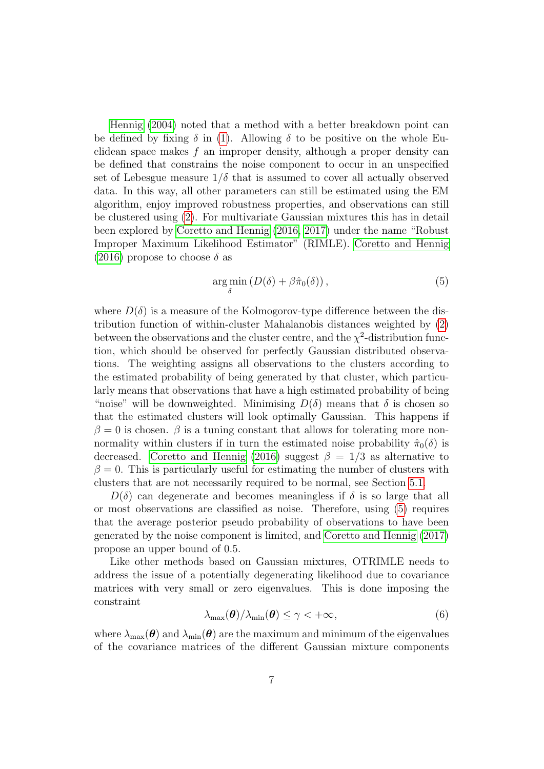[Hennig](#page-32-6) [\(2004\)](#page-32-6) noted that a method with a better breakdown point can be defined by fixing  $\delta$  in [\(1\)](#page-4-1). Allowing  $\delta$  to be positive on the whole Euclidean space makes  $f$  an improper density, although a proper density can be defined that constrains the noise component to occur in an unspecified set of Lebesgue measure  $1/\delta$  that is assumed to cover all actually observed data. In this way, all other parameters can still be estimated using the EM algorithm, enjoy improved robustness properties, and observations can still be clustered using [\(2\)](#page-5-0). For multivariate Gaussian mixtures this has in detail been explored by [Coretto and Hennig](#page-31-0) [\(2016,](#page-31-0) [2017\)](#page-31-1) under the name "Robust Improper Maximum Likelihood Estimator" (RIMLE). [Coretto and Hennig](#page-31-0) [\(2016\)](#page-31-0) propose to choose  $\delta$  as

<span id="page-6-0"></span>
$$
\underset{\delta}{\arg\min} \left( D(\delta) + \beta \hat{\pi}_0(\delta) \right), \tag{5}
$$

where  $D(\delta)$  is a measure of the Kolmogorov-type difference between the distribution function of within-cluster Mahalanobis distances weighted by [\(2\)](#page-5-0) between the observations and the cluster centre, and the  $\chi^2$ -distribution function, which should be observed for perfectly Gaussian distributed observations. The weighting assigns all observations to the clusters according to the estimated probability of being generated by that cluster, which particularly means that observations that have a high estimated probability of being "noise" will be downweighted. Minimising  $D(\delta)$  means that  $\delta$  is chosen so that the estimated clusters will look optimally Gaussian. This happens if  $\beta = 0$  is chosen.  $\beta$  is a tuning constant that allows for tolerating more nonnormality within clusters if in turn the estimated noise probability  $\hat{\pi}_0(\delta)$  is decreased. [Coretto and Hennig](#page-31-0) [\(2016\)](#page-31-0) suggest  $\beta = 1/3$  as alternative to  $\beta = 0$ . This is particularly useful for estimating the number of clusters with clusters that are not necessarily required to be normal, see Section [5.1.](#page-17-0)

 $D(\delta)$  can degenerate and becomes meaningless if  $\delta$  is so large that all or most observations are classified as noise. Therefore, using [\(5\)](#page-6-0) requires that the average posterior pseudo probability of observations to have been generated by the noise component is limited, and [Coretto and Hennig](#page-31-1) [\(2017\)](#page-31-1) propose an upper bound of 0.5.

Like other methods based on Gaussian mixtures, OTRIMLE needs to address the issue of a potentially degenerating likelihood due to covariance matrices with very small or zero eigenvalues. This is done imposing the constraint

$$
\lambda_{\max}(\boldsymbol{\theta})/\lambda_{\min}(\boldsymbol{\theta}) \leq \gamma < +\infty,
$$
\n(6)

where  $\lambda_{\text{max}}(\theta)$  and  $\lambda_{\text{min}}(\theta)$  are the maximum and minimum of the eigenvalues of the covariance matrices of the different Gaussian mixture components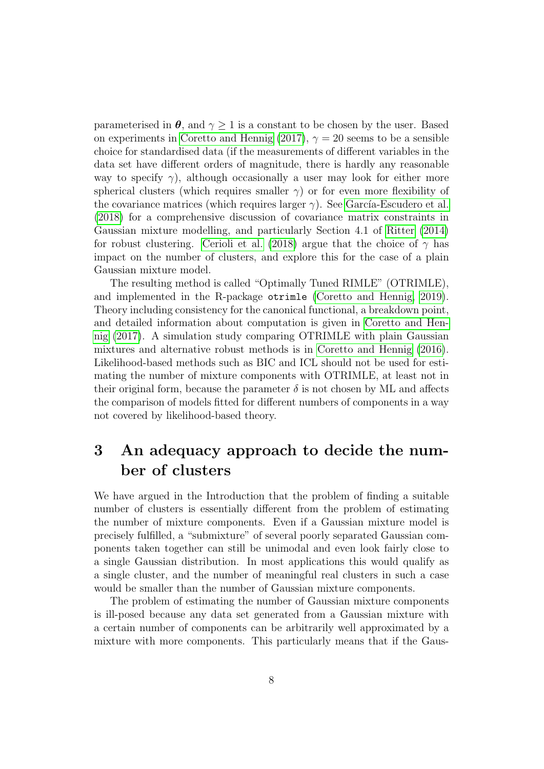parameterised in  $\theta$ , and  $\gamma > 1$  is a constant to be chosen by the user. Based on experiments in [Coretto and Hennig](#page-31-1) [\(2017\)](#page-31-1),  $\gamma = 20$  seems to be a sensible choice for standardised data (if the measurements of different variables in the data set have different orders of magnitude, there is hardly any reasonable way to specify  $\gamma$ ), although occasionally a user may look for either more spherical clusters (which requires smaller  $\gamma$ ) or for even more flexibility of the covariance matrices (which requires larger  $\gamma$ ). See García-Escudero et al. [\(2018\)](#page-32-1) for a comprehensive discussion of covariance matrix constraints in Gaussian mixture modelling, and particularly Section 4.1 of [Ritter](#page-33-6) [\(2014\)](#page-33-6) for robust clustering. [Cerioli et al.](#page-31-8) [\(2018\)](#page-31-8) argue that the choice of  $\gamma$  has impact on the number of clusters, and explore this for the case of a plain Gaussian mixture model.

The resulting method is called "Optimally Tuned RIMLE" (OTRIMLE), and implemented in the R-package otrimle [\(Coretto and Hennig, 2019\)](#page-31-9). Theory including consistency for the canonical functional, a breakdown point, and detailed information about computation is given in [Coretto and Hen](#page-31-1)[nig](#page-31-1) [\(2017\)](#page-31-1). A simulation study comparing OTRIMLE with plain Gaussian mixtures and alternative robust methods is in [Coretto and Hennig](#page-31-0) [\(2016\)](#page-31-0). Likelihood-based methods such as BIC and ICL should not be used for estimating the number of mixture components with OTRIMLE, at least not in their original form, because the parameter  $\delta$  is not chosen by ML and affects the comparison of models fitted for different numbers of components in a way not covered by likelihood-based theory.

## <span id="page-7-0"></span>3 An adequacy approach to decide the number of clusters

We have argued in the Introduction that the problem of finding a suitable number of clusters is essentially different from the problem of estimating the number of mixture components. Even if a Gaussian mixture model is precisely fulfilled, a "submixture" of several poorly separated Gaussian components taken together can still be unimodal and even look fairly close to a single Gaussian distribution. In most applications this would qualify as a single cluster, and the number of meaningful real clusters in such a case would be smaller than the number of Gaussian mixture components.

The problem of estimating the number of Gaussian mixture components is ill-posed because any data set generated from a Gaussian mixture with a certain number of components can be arbitrarily well approximated by a mixture with more components. This particularly means that if the Gaus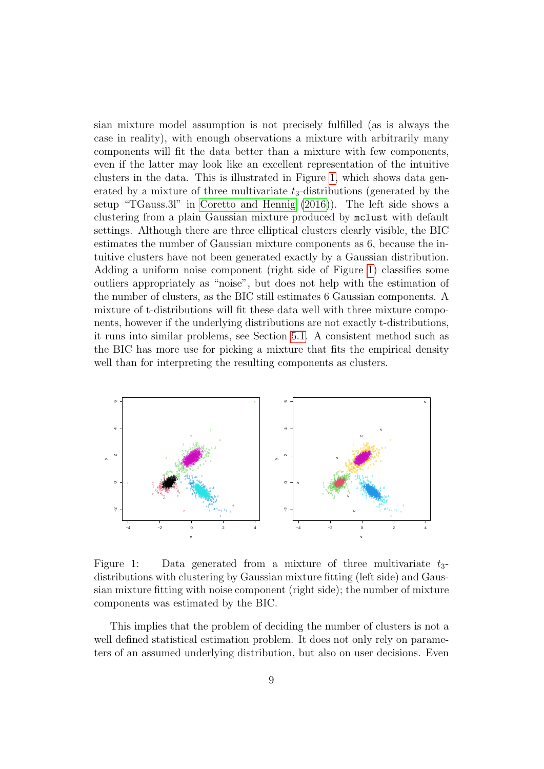sian mixture model assumption is not precisely fulfilled (as is always the case in reality), with enough observations a mixture with arbitrarily many components will fit the data better than a mixture with few components, even if the latter may look like an excellent representation of the intuitive clusters in the data. This is illustrated in Figure [1,](#page-8-0) which shows data generated by a mixture of three multivariate  $t_3$ -distributions (generated by the setup "TGauss.3l" in [Coretto and Hennig](#page-31-0) [\(2016\)](#page-31-0)). The left side shows a clustering from a plain Gaussian mixture produced by mclust with default settings. Although there are three elliptical clusters clearly visible, the BIC estimates the number of Gaussian mixture components as 6, because the intuitive clusters have not been generated exactly by a Gaussian distribution. Adding a uniform noise component (right side of Figure [1\)](#page-8-0) classifies some outliers appropriately as "noise", but does not help with the estimation of the number of clusters, as the BIC still estimates 6 Gaussian components. A mixture of t-distributions will fit these data well with three mixture components, however if the underlying distributions are not exactly t-distributions, it runs into similar problems, see Section [5.1.](#page-17-0) A consistent method such as the BIC has more use for picking a mixture that fits the empirical density well than for interpreting the resulting components as clusters.



<span id="page-8-0"></span>Figure 1: Data generated from a mixture of three multivariate  $t_3$ distributions with clustering by Gaussian mixture fitting (left side) and Gaussian mixture fitting with noise component (right side); the number of mixture components was estimated by the BIC.

This implies that the problem of deciding the number of clusters is not a well defined statistical estimation problem. It does not only rely on parameters of an assumed underlying distribution, but also on user decisions. Even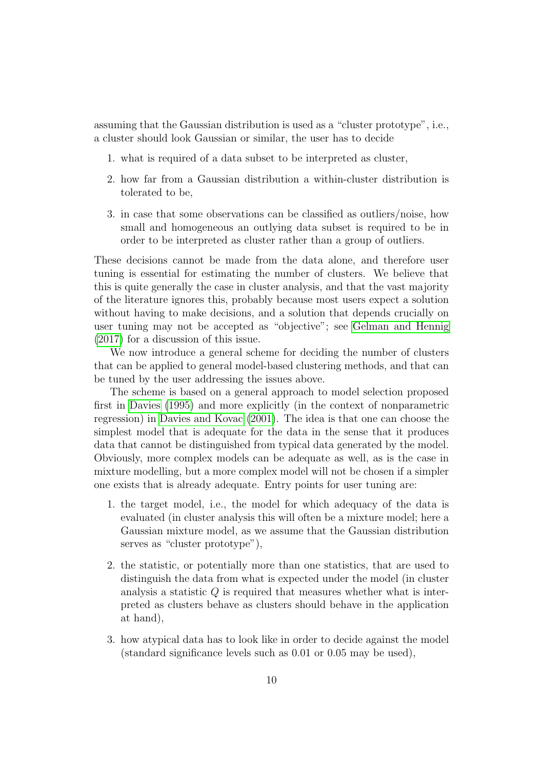assuming that the Gaussian distribution is used as a "cluster prototype", i.e., a cluster should look Gaussian or similar, the user has to decide

- 1. what is required of a data subset to be interpreted as cluster,
- 2. how far from a Gaussian distribution a within-cluster distribution is tolerated to be,
- 3. in case that some observations can be classified as outliers/noise, how small and homogeneous an outlying data subset is required to be in order to be interpreted as cluster rather than a group of outliers.

These decisions cannot be made from the data alone, and therefore user tuning is essential for estimating the number of clusters. We believe that this is quite generally the case in cluster analysis, and that the vast majority of the literature ignores this, probably because most users expect a solution without having to make decisions, and a solution that depends crucially on user tuning may not be accepted as "objective"; see [Gelman and Hennig](#page-32-7) [\(2017\)](#page-32-7) for a discussion of this issue.

We now introduce a general scheme for deciding the number of clusters that can be applied to general model-based clustering methods, and that can be tuned by the user addressing the issues above.

The scheme is based on a general approach to model selection proposed first in [Davies](#page-31-2) [\(1995\)](#page-31-2) and more explicitly (in the context of nonparametric regression) in [Davies and Kovac](#page-31-3) [\(2001\)](#page-31-3). The idea is that one can choose the simplest model that is adequate for the data in the sense that it produces data that cannot be distinguished from typical data generated by the model. Obviously, more complex models can be adequate as well, as is the case in mixture modelling, but a more complex model will not be chosen if a simpler one exists that is already adequate. Entry points for user tuning are:

- 1. the target model, i.e., the model for which adequacy of the data is evaluated (in cluster analysis this will often be a mixture model; here a Gaussian mixture model, as we assume that the Gaussian distribution serves as "cluster prototype"),
- 2. the statistic, or potentially more than one statistics, that are used to distinguish the data from what is expected under the model (in cluster analysis a statistic  $Q$  is required that measures whether what is interpreted as clusters behave as clusters should behave in the application at hand),
- 3. how atypical data has to look like in order to decide against the model (standard significance levels such as 0.01 or 0.05 may be used),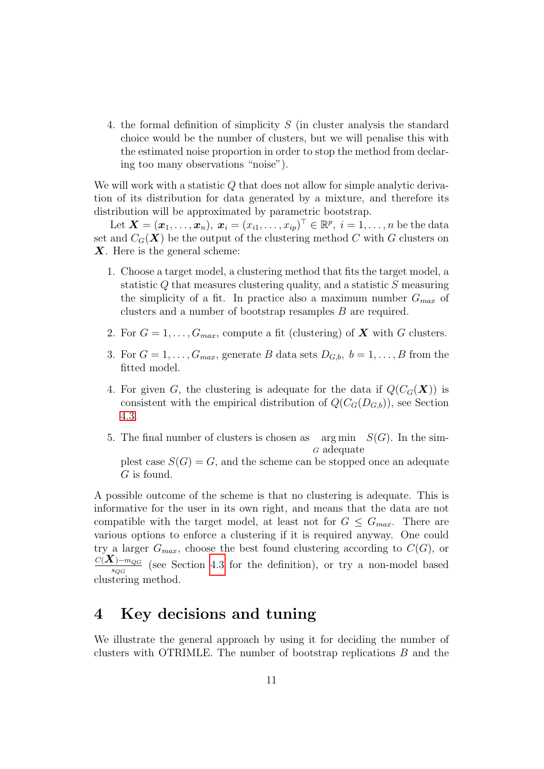4. the formal definition of simplicity S (in cluster analysis the standard choice would be the number of clusters, but we will penalise this with the estimated noise proportion in order to stop the method from declaring too many observations "noise").

We will work with a statistic Q that does not allow for simple analytic derivation of its distribution for data generated by a mixture, and therefore its distribution will be approximated by parametric bootstrap.

Let  $\boldsymbol{X} = (\boldsymbol{x}_1, \dots, \boldsymbol{x}_n), \ \boldsymbol{x}_i = (x_{i1}, \dots, x_{ip})^\top \in \mathbb{R}^p, \ i = 1, \dots, n$  be the data set and  $C_G(\boldsymbol{X})$  be the output of the clustering method C with G clusters on  $X$ . Here is the general scheme:

- 1. Choose a target model, a clustering method that fits the target model, a statistic Q that measures clustering quality, and a statistic S measuring the simplicity of a fit. In practice also a maximum number  $G_{max}$  of clusters and a number of bootstrap resamples B are required.
- 2. For  $G = 1, \ldots, G_{max}$ , compute a fit (clustering) of **X** with G clusters.
- 3. For  $G = 1, \ldots, G_{max}$ , generate B data sets  $D_{G,b}, b = 1, \ldots, B$  from the fitted model.
- 4. For given G, the clustering is adequate for the data if  $Q(C_G(\boldsymbol{X}))$  is consistent with the empirical distribution of  $Q(C_G(D_{G,b}))$ , see Section [4.3.](#page-15-0)
- 5. The final number of clusters is chosen as <sup>G</sup> adequate arg min  $S(G)$ . In the sim-

plest case  $S(G) = G$ , and the scheme can be stopped once an adequate G is found.

A possible outcome of the scheme is that no clustering is adequate. This is informative for the user in its own right, and means that the data are not compatible with the target model, at least not for  $G \leq G_{max}$ . There are various options to enforce a clustering if it is required anyway. One could try a larger  $G_{max}$ , choose the best found clustering according to  $C(G)$ , or  $_{C({\boldsymbol X})-m_{QG}}$  $\frac{S_{\text{QG}}}{S_{\text{QG}}}$  (see Section [4.3](#page-15-0) for the definition), or try a non-model based  $s_{QG}$  (see see

## <span id="page-10-0"></span>4 Key decisions and tuning

We illustrate the general approach by using it for deciding the number of clusters with OTRIMLE. The number of bootstrap replications  $B$  and the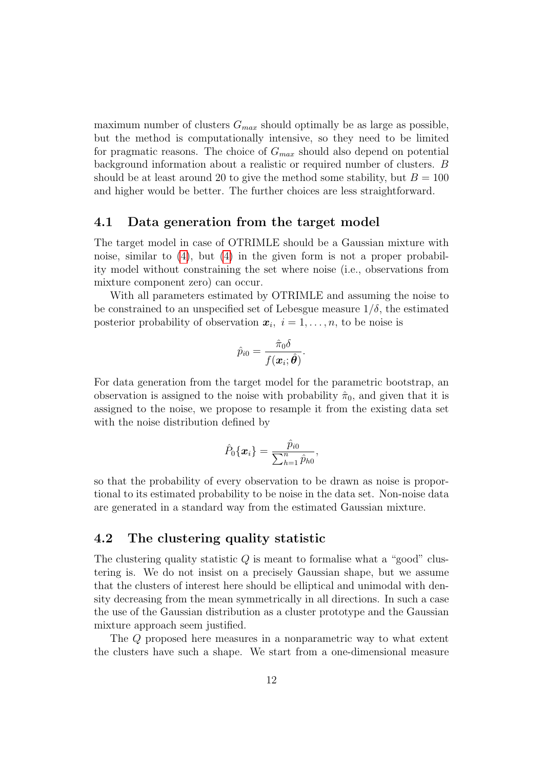maximum number of clusters  $G_{max}$  should optimally be as large as possible, but the method is computationally intensive, so they need to be limited for pragmatic reasons. The choice of  $G_{max}$  should also depend on potential background information about a realistic or required number of clusters. B should be at least around 20 to give the method some stability, but  $B = 100$ and higher would be better. The further choices are less straightforward.

#### 4.1 Data generation from the target model

The target model in case of OTRIMLE should be a Gaussian mixture with noise, similar to  $(4)$ , but  $(4)$  in the given form is not a proper probability model without constraining the set where noise (i.e., observations from mixture component zero) can occur.

With all parameters estimated by OTRIMLE and assuming the noise to be constrained to an unspecified set of Lebesgue measure  $1/\delta$ , the estimated posterior probability of observation  $x_i$ ,  $i = 1, \ldots, n$ , to be noise is

$$
\hat{p}_{i0}=\frac{\hat{\pi}_{0}\delta}{f(\boldsymbol{x}_{i};\hat{\boldsymbol{\theta}})}.
$$

For data generation from the target model for the parametric bootstrap, an observation is assigned to the noise with probability  $\hat{\pi}_0$ , and given that it is assigned to the noise, we propose to resample it from the existing data set with the noise distribution defined by

$$
\hat{P}_0\{\bm{x}_i\} = \frac{\hat{p}_{i0}}{\sum_{h=1}^n \hat{p}_{h0}},
$$

so that the probability of every observation to be drawn as noise is proportional to its estimated probability to be noise in the data set. Non-noise data are generated in a standard way from the estimated Gaussian mixture.

#### 4.2 The clustering quality statistic

The clustering quality statistic  $Q$  is meant to formalise what a "good" clustering is. We do not insist on a precisely Gaussian shape, but we assume that the clusters of interest here should be elliptical and unimodal with density decreasing from the mean symmetrically in all directions. In such a case the use of the Gaussian distribution as a cluster prototype and the Gaussian mixture approach seem justified.

The Q proposed here measures in a nonparametric way to what extent the clusters have such a shape. We start from a one-dimensional measure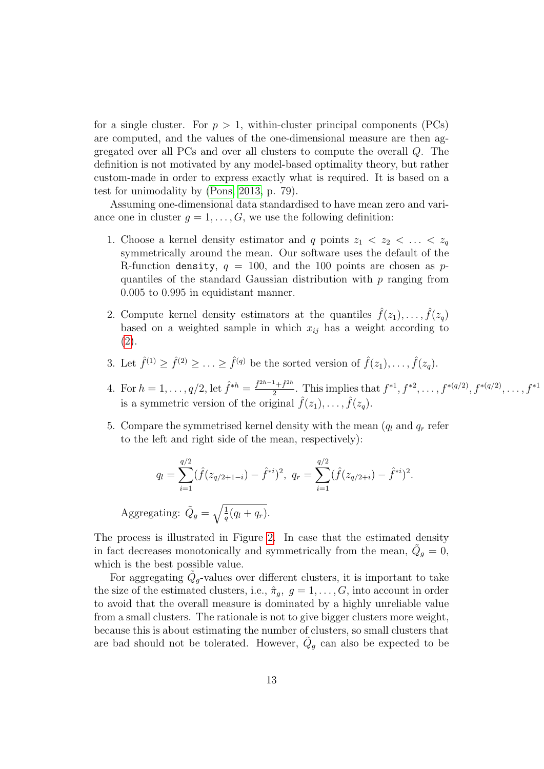for a single cluster. For  $p > 1$ , within-cluster principal components (PCs) are computed, and the values of the one-dimensional measure are then aggregated over all PCs and over all clusters to compute the overall Q. The definition is not motivated by any model-based optimality theory, but rather custom-made in order to express exactly what is required. It is based on a test for unimodality by [\(Pons, 2013,](#page-33-10) p. 79).

Assuming one-dimensional data standardised to have mean zero and variance one in cluster  $g = 1, \ldots, G$ , we use the following definition:

- 1. Choose a kernel density estimator and q points  $z_1 < z_2 < \ldots < z_q$ symmetrically around the mean. Our software uses the default of the R-function density,  $q = 100$ , and the 100 points are chosen as pquantiles of the standard Gaussian distribution with p ranging from 0.005 to 0.995 in equidistant manner.
- 2. Compute kernel density estimators at the quantiles  $\hat{f}(z_1), \ldots, \hat{f}(z_q)$ based on a weighted sample in which  $x_{ij}$  has a weight according to [\(2\)](#page-5-0).
- 3. Let  $\hat{f}^{(1)} \geq \hat{f}^{(2)} \geq \ldots \geq \hat{f}^{(q)}$  be the sorted version of  $\hat{f}(z_1), \ldots, \hat{f}(z_q)$ .
- 4. For  $h = 1, ..., q/2$ , let  $\hat{f}^{*h} = \frac{\hat{f}^{2h-1} + \hat{f}^{2h}}{2}$  $\frac{1+f^{2n}}{2}$ . This implies that  $f^{*1}, f^{*2}, \ldots, f^{*(q/2)}, f^{*(q/2)}, \ldots, f^{*1}$ is a symmetric version of the original  $\hat{f}(z_1), \ldots, \hat{f}(z_q)$ .
- 5. Compare the symmetrised kernel density with the mean  $(q_l \text{ and } q_r \text{ refer})$ to the left and right side of the mean, respectively):

$$
q_l = \sum_{i=1}^{q/2} (\hat{f}(z_{q/2+1-i}) - \hat{f}^{*i})^2, \ q_r = \sum_{i=1}^{q/2} (\hat{f}(z_{q/2+i}) - \hat{f}^{*i})^2.
$$

Aggregating:  $\tilde{Q}_g = \sqrt{\frac{1}{q}(q_l + q_r)}$ .

The process is illustrated in Figure [2.](#page-13-0) In case that the estimated density in fact decreases monotonically and symmetrically from the mean,  $\tilde{Q}_g = 0$ , which is the best possible value.

For aggregating  $\tilde{Q}_g$ -values over different clusters, it is important to take the size of the estimated clusters, i.e.,  $\hat{\pi}_g$ ,  $g = 1, \ldots, G$ , into account in order to avoid that the overall measure is dominated by a highly unreliable value from a small clusters. The rationale is not to give bigger clusters more weight, because this is about estimating the number of clusters, so small clusters that are bad should not be tolerated. However,  $\tilde{Q}_g$  can also be expected to be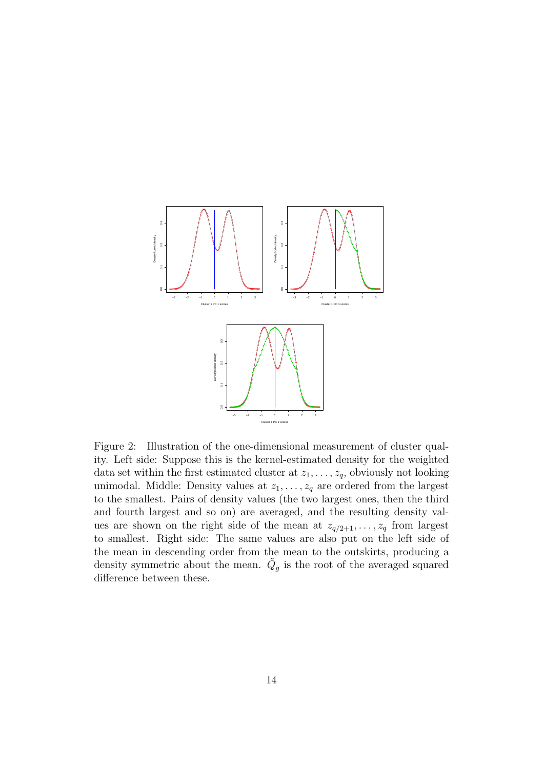

<span id="page-13-0"></span>Figure 2: Illustration of the one-dimensional measurement of cluster quality. Left side: Suppose this is the kernel-estimated density for the weighted data set within the first estimated cluster at  $z_1, \ldots, z_q$ , obviously not looking unimodal. Middle: Density values at  $z_1, \ldots, z_q$  are ordered from the largest to the smallest. Pairs of density values (the two largest ones, then the third and fourth largest and so on) are averaged, and the resulting density values are shown on the right side of the mean at  $z_{q/2+1}, \ldots, z_q$  from largest to smallest. Right side: The same values are also put on the left side of the mean in descending order from the mean to the outskirts, producing a density symmetric about the mean.  $\tilde{Q}_g$  is the root of the averaged squared difference between these.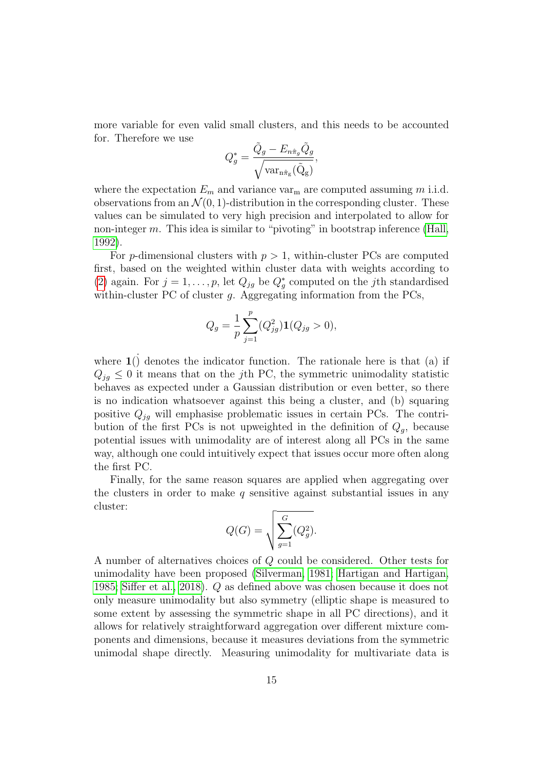more variable for even valid small clusters, and this needs to be accounted for. Therefore we use

$$
Q_g^* = \frac{\tilde{Q}_g - E_{n\hat{\pi}_g} \tilde{Q}_g}{\sqrt{\text{var}_{n\hat{\pi}_g}(\tilde{Q}_g)}},
$$

where the expectation  $E_m$  and variance var<sub>m</sub> are computed assuming m i.i.d. observations from an  $\mathcal{N}(0, 1)$ -distribution in the corresponding cluster. These values can be simulated to very high precision and interpolated to allow for non-integer  $m$ . This idea is similar to "pivoting" in bootstrap inference [\(Hall,](#page-32-8) [1992\)](#page-32-8).

For p-dimensional clusters with  $p > 1$ , within-cluster PCs are computed first, based on the weighted within cluster data with weights according to [\(2\)](#page-5-0) again. For  $j = 1, \ldots, p$ , let  $Q_{jg}$  be  $Q_g^*$  computed on the j<sup>th</sup> standardised within-cluster PC of cluster  $q$ . Aggregating information from the PCs,

$$
Q_g = \frac{1}{p} \sum_{j=1}^p (Q_{jg}^2) \mathbf{1}(Q_{jg} > 0),
$$

where  $\mathbf{1}$ () denotes the indicator function. The rationale here is that (a) if  $Q_{jq} \leq 0$  it means that on the j<sup>th</sup> PC, the symmetric unimodality statistic behaves as expected under a Gaussian distribution or even better, so there is no indication whatsoever against this being a cluster, and (b) squaring positive  $Q_{jg}$  will emphasise problematic issues in certain PCs. The contribution of the first PCs is not upweighted in the definition of  $Q<sub>g</sub>$ , because potential issues with unimodality are of interest along all PCs in the same way, although one could intuitively expect that issues occur more often along the first PC.

Finally, for the same reason squares are applied when aggregating over the clusters in order to make  $q$  sensitive against substantial issues in any cluster:

$$
Q(G) = \sqrt{\sum_{g=1}^{G} (Q_g^2)}.
$$

A number of alternatives choices of Q could be considered. Other tests for unimodality have been proposed [\(Silverman, 1981;](#page-34-2) [Hartigan and Hartigan,](#page-32-9) [1985;](#page-32-9) [Siffer et al., 2018\)](#page-34-3). Q as defined above was chosen because it does not only measure unimodality but also symmetry (elliptic shape is measured to some extent by assessing the symmetric shape in all PC directions), and it allows for relatively straightforward aggregation over different mixture components and dimensions, because it measures deviations from the symmetric unimodal shape directly. Measuring unimodality for multivariate data is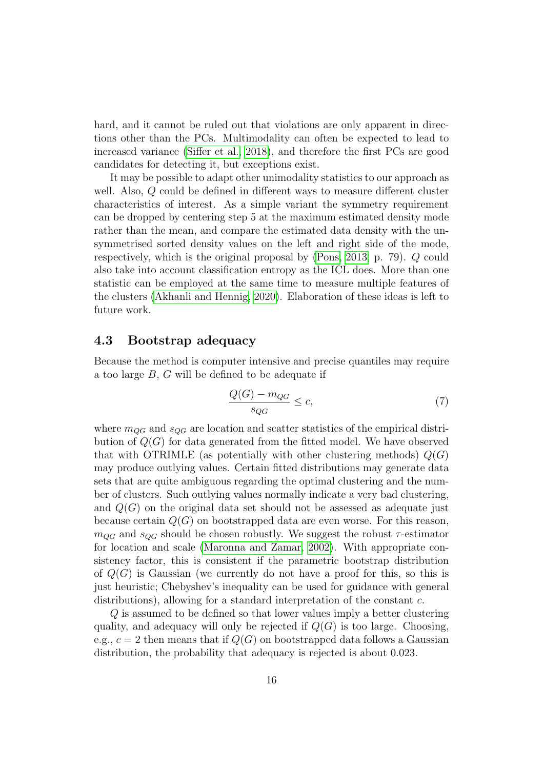hard, and it cannot be ruled out that violations are only apparent in directions other than the PCs. Multimodality can often be expected to lead to increased variance [\(Siffer et al., 2018\)](#page-34-3), and therefore the first PCs are good candidates for detecting it, but exceptions exist.

It may be possible to adapt other unimodality statistics to our approach as well. Also, Q could be defined in different ways to measure different cluster characteristics of interest. As a simple variant the symmetry requirement can be dropped by centering step 5 at the maximum estimated density mode rather than the mean, and compare the estimated data density with the unsymmetrised sorted density values on the left and right side of the mode, respectively, which is the original proposal by [\(Pons, 2013,](#page-33-10) p. 79). Q could also take into account classification entropy as the ICL does. More than one statistic can be employed at the same time to measure multiple features of the clusters [\(Akhanli and Hennig, 2020\)](#page-30-3). Elaboration of these ideas is left to future work.

#### <span id="page-15-0"></span>4.3 Bootstrap adequacy

Because the method is computer intensive and precise quantiles may require a too large B, G will be defined to be adequate if

<span id="page-15-1"></span>
$$
\frac{Q(G) - m_{QG}}{s_{QG}} \le c,\t\t(7)
$$

where  $m_{OG}$  and  $s_{OG}$  are location and scatter statistics of the empirical distribution of  $Q(G)$  for data generated from the fitted model. We have observed that with OTRIMLE (as potentially with other clustering methods)  $Q(G)$ may produce outlying values. Certain fitted distributions may generate data sets that are quite ambiguous regarding the optimal clustering and the number of clusters. Such outlying values normally indicate a very bad clustering, and  $Q(G)$  on the original data set should not be assessed as adequate just because certain  $Q(G)$  on bootstrapped data are even worse. For this reason,  $m_{QG}$  and  $s_{QG}$  should be chosen robustly. We suggest the robust  $\tau$ -estimator for location and scale [\(Maronna and Zamar, 2002\)](#page-33-11). With appropriate consistency factor, this is consistent if the parametric bootstrap distribution of  $Q(G)$  is Gaussian (we currently do not have a proof for this, so this is just heuristic; Chebyshev's inequality can be used for guidance with general distributions), allowing for a standard interpretation of the constant c.

Q is assumed to be defined so that lower values imply a better clustering quality, and adequacy will only be rejected if  $Q(G)$  is too large. Choosing, e.g.,  $c = 2$  then means that if  $Q(G)$  on bootstrapped data follows a Gaussian distribution, the probability that adequacy is rejected is about 0.023.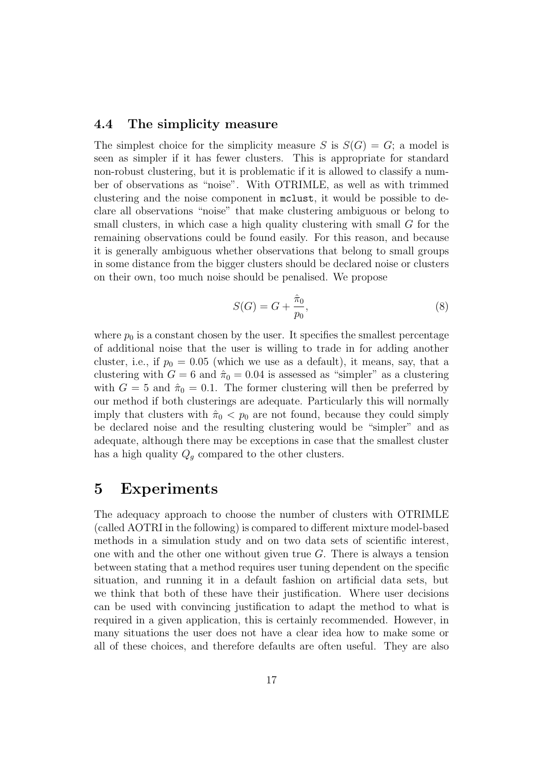#### <span id="page-16-0"></span>4.4 The simplicity measure

The simplest choice for the simplicity measure S is  $S(G) = G$ ; a model is seen as simpler if it has fewer clusters. This is appropriate for standard non-robust clustering, but it is problematic if it is allowed to classify a number of observations as "noise". With OTRIMLE, as well as with trimmed clustering and the noise component in mclust, it would be possible to declare all observations "noise" that make clustering ambiguous or belong to small clusters, in which case a high quality clustering with small G for the remaining observations could be found easily. For this reason, and because it is generally ambiguous whether observations that belong to small groups in some distance from the bigger clusters should be declared noise or clusters on their own, too much noise should be penalised. We propose

<span id="page-16-2"></span>
$$
S(G) = G + \frac{\hat{\pi}_0}{p_0},\tag{8}
$$

where  $p_0$  is a constant chosen by the user. It specifies the smallest percentage of additional noise that the user is willing to trade in for adding another cluster, i.e., if  $p_0 = 0.05$  (which we use as a default), it means, say, that a clustering with  $G = 6$  and  $\hat{\pi}_0 = 0.04$  is assessed as "simpler" as a clustering with  $G = 5$  and  $\hat{\pi}_0 = 0.1$ . The former clustering will then be preferred by our method if both clusterings are adequate. Particularly this will normally imply that clusters with  $\hat{\pi}_0$  <  $p_0$  are not found, because they could simply be declared noise and the resulting clustering would be "simpler" and as adequate, although there may be exceptions in case that the smallest cluster has a high quality  $Q_g$  compared to the other clusters.

## <span id="page-16-1"></span>5 Experiments

The adequacy approach to choose the number of clusters with OTRIMLE (called AOTRI in the following) is compared to different mixture model-based methods in a simulation study and on two data sets of scientific interest, one with and the other one without given true  $G$ . There is always a tension between stating that a method requires user tuning dependent on the specific situation, and running it in a default fashion on artificial data sets, but we think that both of these have their justification. Where user decisions can be used with convincing justification to adapt the method to what is required in a given application, this is certainly recommended. However, in many situations the user does not have a clear idea how to make some or all of these choices, and therefore defaults are often useful. They are also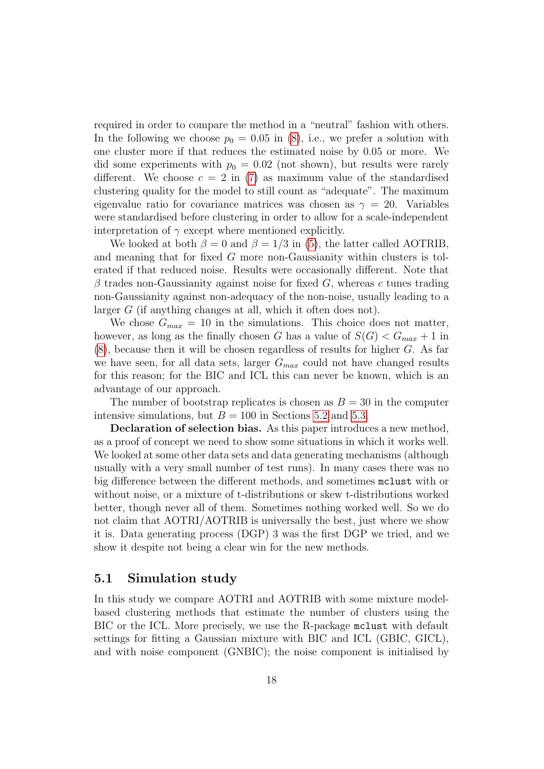required in order to compare the method in a "neutral" fashion with others. In the following we choose  $p_0 = 0.05$  in [\(8\)](#page-16-2), i.e., we prefer a solution with one cluster more if that reduces the estimated noise by 0.05 or more. We did some experiments with  $p_0 = 0.02$  (not shown), but results were rarely different. We choose  $c = 2$  in [\(7\)](#page-15-1) as maximum value of the standardised clustering quality for the model to still count as "adequate". The maximum eigenvalue ratio for covariance matrices was chosen as  $\gamma = 20$ . Variables were standardised before clustering in order to allow for a scale-independent interpretation of  $\gamma$  except where mentioned explicitly.

We looked at both  $\beta = 0$  and  $\beta = 1/3$  in [\(5\)](#page-6-0), the latter called AOTRIB, and meaning that for fixed G more non-Gaussianity within clusters is tolerated if that reduced noise. Results were occasionally different. Note that  $\beta$  trades non-Gaussianity against noise for fixed G, whereas c tunes trading non-Gaussianity against non-adequacy of the non-noise, usually leading to a larger G (if anything changes at all, which it often does not).

We chose  $G_{max} = 10$  in the simulations. This choice does not matter, however, as long as the finally chosen G has a value of  $S(G) < G_{max} + 1$  in  $(8)$ , because then it will be chosen regardless of results for higher G. As far we have seen, for all data sets, larger  $G_{max}$  could not have changed results for this reason; for the BIC and ICL this can never be known, which is an advantage of our approach.

The number of bootstrap replicates is chosen as  $B = 30$  in the computer intensive simulations, but  $B = 100$  in Sections [5.2](#page-24-0) and [5.3.](#page-26-0)

Declaration of selection bias. As this paper introduces a new method, as a proof of concept we need to show some situations in which it works well. We looked at some other data sets and data generating mechanisms (although usually with a very small number of test runs). In many cases there was no big difference between the different methods, and sometimes mclust with or without noise, or a mixture of t-distributions or skew t-distributions worked better, though never all of them. Sometimes nothing worked well. So we do not claim that AOTRI/AOTRIB is universally the best, just where we show it is. Data generating process (DGP) 3 was the first DGP we tried, and we show it despite not being a clear win for the new methods.

#### <span id="page-17-0"></span>5.1 Simulation study

In this study we compare AOTRI and AOTRIB with some mixture modelbased clustering methods that estimate the number of clusters using the BIC or the ICL. More precisely, we use the R-package mclust with default settings for fitting a Gaussian mixture with BIC and ICL (GBIC, GICL), and with noise component (GNBIC); the noise component is initialised by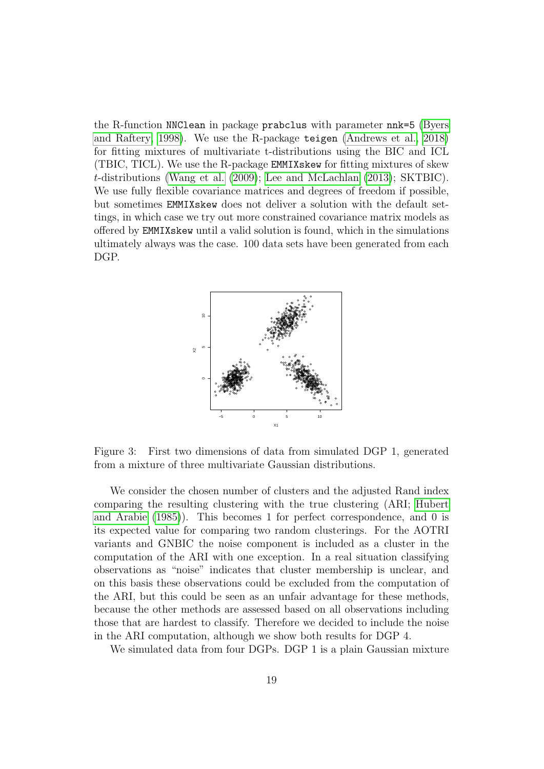the R-function NNClean in package prabclus with parameter nnk=5 [\(Byers](#page-31-10) [and Raftery, 1998\)](#page-31-10). We use the R-package teigen [\(Andrews et al., 2018\)](#page-30-4) for fitting mixtures of multivariate t-distributions using the BIC and ICL (TBIC, TICL). We use the R-package EMMIXskew for fitting mixtures of skew t-distributions [\(Wang et al.](#page-34-4) [\(2009\)](#page-34-4); [Lee and McLachlan](#page-33-9) [\(2013\)](#page-33-9); SKTBIC). We use fully flexible covariance matrices and degrees of freedom if possible, but sometimes EMMIXskew does not deliver a solution with the default settings, in which case we try out more constrained covariance matrix models as offered by EMMIXskew until a valid solution is found, which in the simulations ultimately always was the case. 100 data sets have been generated from each DGP.



<span id="page-18-0"></span>Figure 3: First two dimensions of data from simulated DGP 1, generated from a mixture of three multivariate Gaussian distributions.

We consider the chosen number of clusters and the adjusted Rand index comparing the resulting clustering with the true clustering (ARI; [Hubert](#page-32-10) [and Arabie](#page-32-10) [\(1985\)](#page-32-10)). This becomes 1 for perfect correspondence, and 0 is its expected value for comparing two random clusterings. For the AOTRI variants and GNBIC the noise component is included as a cluster in the computation of the ARI with one exception. In a real situation classifying observations as "noise" indicates that cluster membership is unclear, and on this basis these observations could be excluded from the computation of the ARI, but this could be seen as an unfair advantage for these methods, because the other methods are assessed based on all observations including those that are hardest to classify. Therefore we decided to include the noise in the ARI computation, although we show both results for DGP 4.

We simulated data from four DGPs. DGP 1 is a plain Gaussian mixture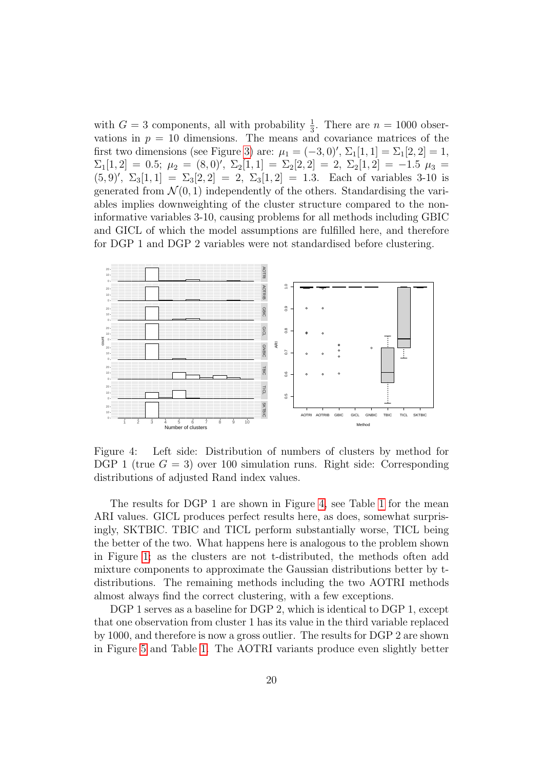with  $G = 3$  components, all with probability  $\frac{1}{3}$ . There are  $n = 1000$  observations in  $p = 10$  dimensions. The means and covariance matrices of the first two dimensions (see Figure [3\)](#page-18-0) are:  $\mu_1 = (-3, 0)$ ',  $\Sigma_1[1, 1] = \Sigma_1[2, 2] = 1$ ,  $\Sigma_1[1,2] = 0.5; \mu_2 = (8,0)^\prime, \Sigma_2[1,1] = \Sigma_2[2,2] = 2, \Sigma_2[1,2] = -1.5 \mu_3 =$  $(5, 9)'$ ,  $\Sigma_3[1, 1] = \Sigma_3[2, 2] = 2$ ,  $\Sigma_3[1, 2] = 1.3$ . Each of variables 3-10 is generated from  $\mathcal{N}(0,1)$  independently of the others. Standardising the variables implies downweighting of the cluster structure compared to the noninformative variables 3-10, causing problems for all methods including GBIC and GICL of which the model assumptions are fulfilled here, and therefore for DGP 1 and DGP 2 variables were not standardised before clustering.



<span id="page-19-0"></span>Figure 4: Left side: Distribution of numbers of clusters by method for DGP 1 (true  $G = 3$ ) over 100 simulation runs. Right side: Corresponding distributions of adjusted Rand index values.

The results for DGP 1 are shown in Figure [4,](#page-19-0) see Table [1](#page-20-0) for the mean ARI values. GICL produces perfect results here, as does, somewhat surprisingly, SKTBIC. TBIC and TICL perform substantially worse, TICL being the better of the two. What happens here is analogous to the problem shown in Figure [1;](#page-8-0) as the clusters are not t-distributed, the methods often add mixture components to approximate the Gaussian distributions better by tdistributions. The remaining methods including the two AOTRI methods almost always find the correct clustering, with a few exceptions.

DGP 1 serves as a baseline for DGP 2, which is identical to DGP 1, except that one observation from cluster 1 has its value in the third variable replaced by 1000, and therefore is now a gross outlier. The results for DGP 2 are shown in Figure [5](#page-20-1) and Table [1.](#page-20-0) The AOTRI variants produce even slightly better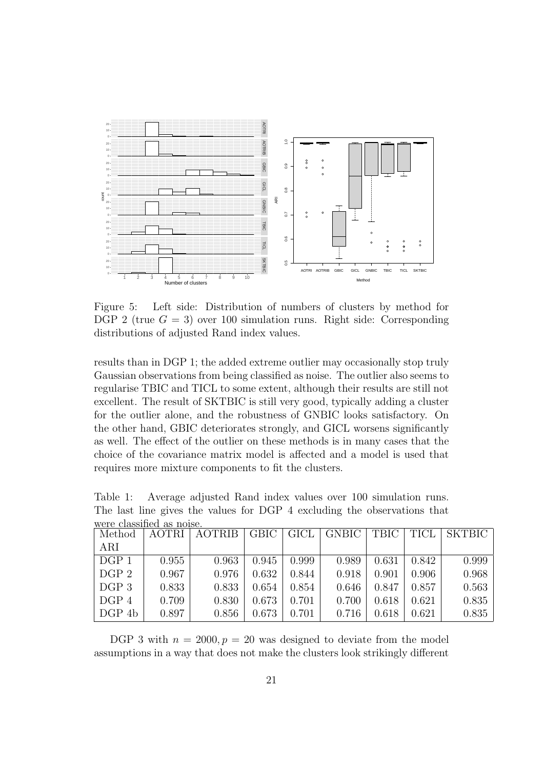

<span id="page-20-1"></span>Figure 5: Left side: Distribution of numbers of clusters by method for DGP 2 (true  $G = 3$ ) over 100 simulation runs. Right side: Corresponding distributions of adjusted Rand index values.

results than in DGP 1; the added extreme outlier may occasionally stop truly Gaussian observations from being classified as noise. The outlier also seems to regularise TBIC and TICL to some extent, although their results are still not excellent. The result of SKTBIC is still very good, typically adding a cluster for the outlier alone, and the robustness of GNBIC looks satisfactory. On the other hand, GBIC deteriorates strongly, and GICL worsens significantly as well. The effect of the outlier on these methods is in many cases that the choice of the covariance matrix model is affected and a model is used that requires more mixture components to fit the clusters.

| were classified as noise. |              |               |             |             |              |       |       |               |
|---------------------------|--------------|---------------|-------------|-------------|--------------|-------|-------|---------------|
| Method                    | <b>AOTRI</b> | <b>AOTRIB</b> | <b>GBIC</b> | <b>GICL</b> | <b>GNBIC</b> | TBIC  | TICL  | <b>SKTBIC</b> |
| ARI                       |              |               |             |             |              |       |       |               |
| DGP 1                     | 0.955        | 0.963         | 0.945       | 0.999       | 0.989        | 0.631 | 0.842 | 0.999         |
| DGP 2                     | 0.967        | 0.976         | 0.632       | 0.844       | 0.918        | 0.901 | 0.906 | 0.968         |
| DGP 3                     | 0.833        | 0.833         | 0.654       | 0.854       | 0.646        | 0.847 | 0.857 | 0.563         |
| DGP 4                     | 0.709        | 0.830         | 0.673       | 0.701       | 0.700        | 0.618 | 0.621 | 0.835         |
| DGP 4b                    | 0.897        | 0.856         | 0.673       | 0.701       | 0.716        | 0.618 | 0.621 | 0.835         |

<span id="page-20-0"></span>Table 1: Average adjusted Rand index values over 100 simulation runs. The last line gives the values for DGP 4 excluding the observations that

DGP 3 with  $n = 2000, p = 20$  was designed to deviate from the model assumptions in a way that does not make the clusters look strikingly different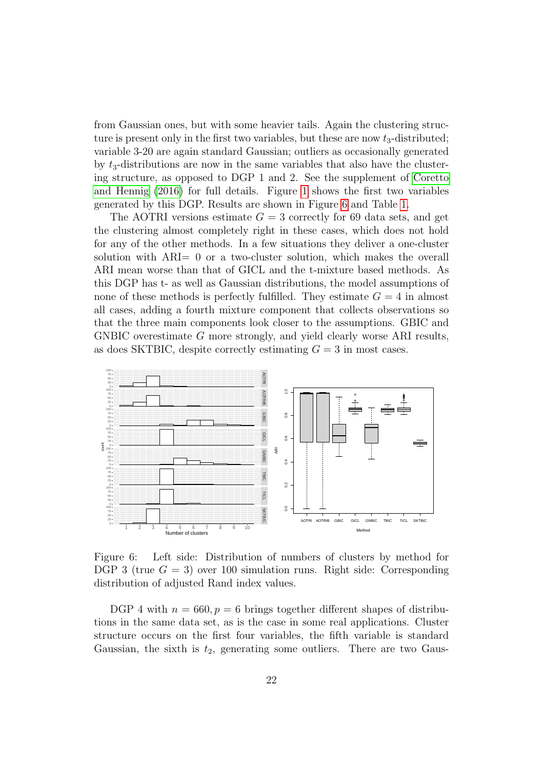from Gaussian ones, but with some heavier tails. Again the clustering structure is present only in the first two variables, but these are now  $t_3$ -distributed; variable 3-20 are again standard Gaussian; outliers as occasionally generated by  $t_3$ -distributions are now in the same variables that also have the clustering structure, as opposed to DGP 1 and 2. See the supplement of [Coretto](#page-31-0) [and Hennig](#page-31-0) [\(2016\)](#page-31-0) for full details. Figure [1](#page-8-0) shows the first two variables generated by this DGP. Results are shown in Figure [6](#page-21-0) and Table [1.](#page-20-0)

The AOTRI versions estimate  $G = 3$  correctly for 69 data sets, and get the clustering almost completely right in these cases, which does not hold for any of the other methods. In a few situations they deliver a one-cluster solution with ARI= 0 or a two-cluster solution, which makes the overall ARI mean worse than that of GICL and the t-mixture based methods. As this DGP has t- as well as Gaussian distributions, the model assumptions of none of these methods is perfectly fulfilled. They estimate  $G = 4$  in almost all cases, adding a fourth mixture component that collects observations so that the three main components look closer to the assumptions. GBIC and GNBIC overestimate G more strongly, and yield clearly worse ARI results, as does SKTBIC, despite correctly estimating  $G = 3$  in most cases.



<span id="page-21-0"></span>Figure 6: Left side: Distribution of numbers of clusters by method for DGP 3 (true  $G = 3$ ) over 100 simulation runs. Right side: Corresponding distribution of adjusted Rand index values.

DGP 4 with  $n = 660, p = 6$  brings together different shapes of distributions in the same data set, as is the case in some real applications. Cluster structure occurs on the first four variables, the fifth variable is standard Gaussian, the sixth is  $t_2$ , generating some outliers. There are two Gaus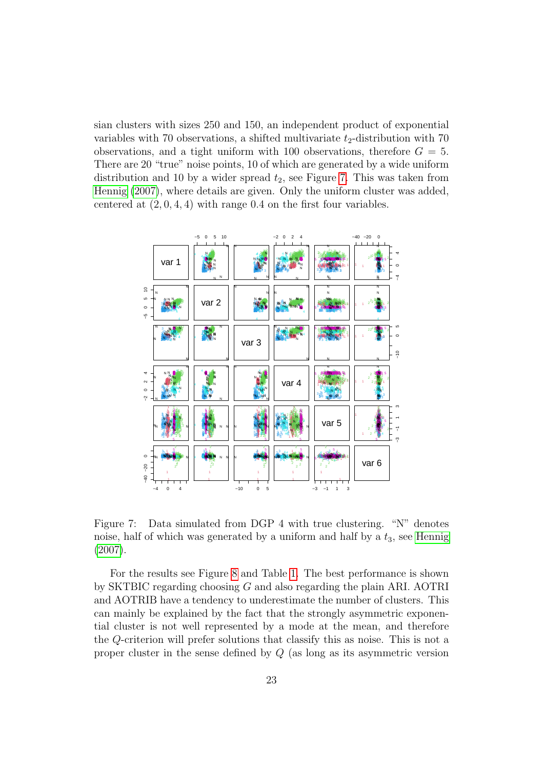sian clusters with sizes 250 and 150, an independent product of exponential variables with 70 observations, a shifted multivariate  $t_2$ -distribution with 70 observations, and a tight uniform with 100 observations, therefore  $G = 5$ . There are 20 "true" noise points, 10 of which are generated by a wide uniform distribution and 10 by a wider spread  $t_2$ , see Figure [7.](#page-22-0) This was taken from [Hennig](#page-32-11) [\(2007\)](#page-32-11), where details are given. Only the uniform cluster was added, centered at  $(2, 0, 4, 4)$  with range 0.4 on the first four variables.



<span id="page-22-0"></span>Figure 7: Data simulated from DGP 4 with true clustering. "N" denotes noise, half of which was generated by a uniform and half by a  $t_3$ , see [Hennig](#page-32-11) [\(2007\)](#page-32-11).

For the results see Figure [8](#page-23-0) and Table [1.](#page-20-0) The best performance is shown by SKTBIC regarding choosing G and also regarding the plain ARI. AOTRI and AOTRIB have a tendency to underestimate the number of clusters. This can mainly be explained by the fact that the strongly asymmetric exponential cluster is not well represented by a mode at the mean, and therefore the Q-criterion will prefer solutions that classify this as noise. This is not a proper cluster in the sense defined by Q (as long as its asymmetric version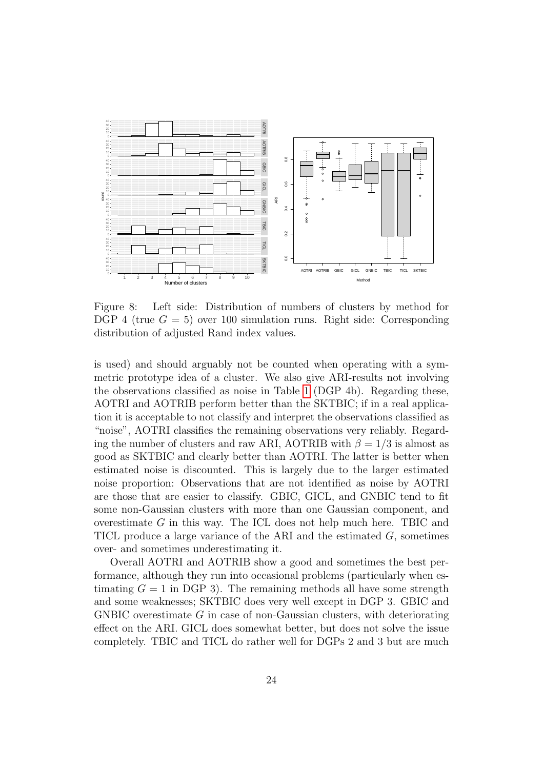

<span id="page-23-0"></span>Figure 8: Left side: Distribution of numbers of clusters by method for DGP 4 (true  $G = 5$ ) over 100 simulation runs. Right side: Corresponding distribution of adjusted Rand index values.

is used) and should arguably not be counted when operating with a symmetric prototype idea of a cluster. We also give ARI-results not involving the observations classified as noise in Table [1](#page-20-0) (DGP 4b). Regarding these, AOTRI and AOTRIB perform better than the SKTBIC; if in a real application it is acceptable to not classify and interpret the observations classified as "noise", AOTRI classifies the remaining observations very reliably. Regarding the number of clusters and raw ARI, AOTRIB with  $\beta = 1/3$  is almost as good as SKTBIC and clearly better than AOTRI. The latter is better when estimated noise is discounted. This is largely due to the larger estimated noise proportion: Observations that are not identified as noise by AOTRI are those that are easier to classify. GBIC, GICL, and GNBIC tend to fit some non-Gaussian clusters with more than one Gaussian component, and overestimate G in this way. The ICL does not help much here. TBIC and TICL produce a large variance of the ARI and the estimated  $G$ , sometimes over- and sometimes underestimating it.

Overall AOTRI and AOTRIB show a good and sometimes the best performance, although they run into occasional problems (particularly when estimating  $G = 1$  in DGP 3). The remaining methods all have some strength and some weaknesses; SKTBIC does very well except in DGP 3. GBIC and GNBIC overestimate  $G$  in case of non-Gaussian clusters, with deteriorating effect on the ARI. GICL does somewhat better, but does not solve the issue completely. TBIC and TICL do rather well for DGPs 2 and 3 but are much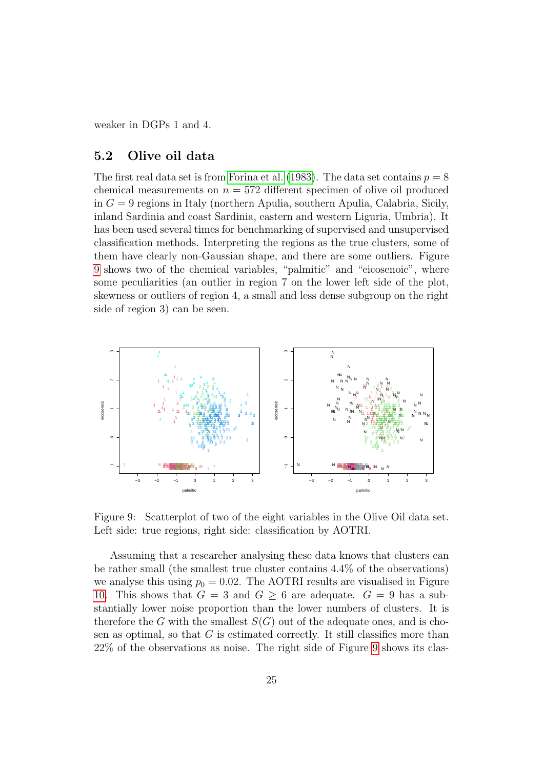weaker in DGPs 1 and 4.

#### <span id="page-24-0"></span>5.2 Olive oil data

The first real data set is from [Forina et al.](#page-31-11) [\(1983\)](#page-31-11). The data set contains  $p = 8$ chemical measurements on  $n = 572$  different specimen of olive oil produced in  $G = 9$  regions in Italy (northern Apulia, southern Apulia, Calabria, Sicily, inland Sardinia and coast Sardinia, eastern and western Liguria, Umbria). It has been used several times for benchmarking of supervised and unsupervised classification methods. Interpreting the regions as the true clusters, some of them have clearly non-Gaussian shape, and there are some outliers. Figure shows two of the chemical variables, "palmitic" and "eicosenoic", where some peculiarities (an outlier in region 7 on the lower left side of the plot, skewness or outliers of region 4, a small and less dense subgroup on the right side of region 3) can be seen.



<span id="page-24-1"></span>Figure 9: Scatterplot of two of the eight variables in the Olive Oil data set. Left side: true regions, right side: classification by AOTRI.

Assuming that a researcher analysing these data knows that clusters can be rather small (the smallest true cluster contains 4.4% of the observations) we analyse this using  $p_0 = 0.02$ . The AOTRI results are visualised in Figure [10.](#page-25-0) This shows that  $G = 3$  and  $G \geq 6$  are adequate.  $G = 9$  has a substantially lower noise proportion than the lower numbers of clusters. It is therefore the G with the smallest  $S(G)$  out of the adequate ones, and is chosen as optimal, so that  $G$  is estimated correctly. It still classifies more than 22% of the observations as noise. The right side of Figure [9](#page-24-1) shows its clas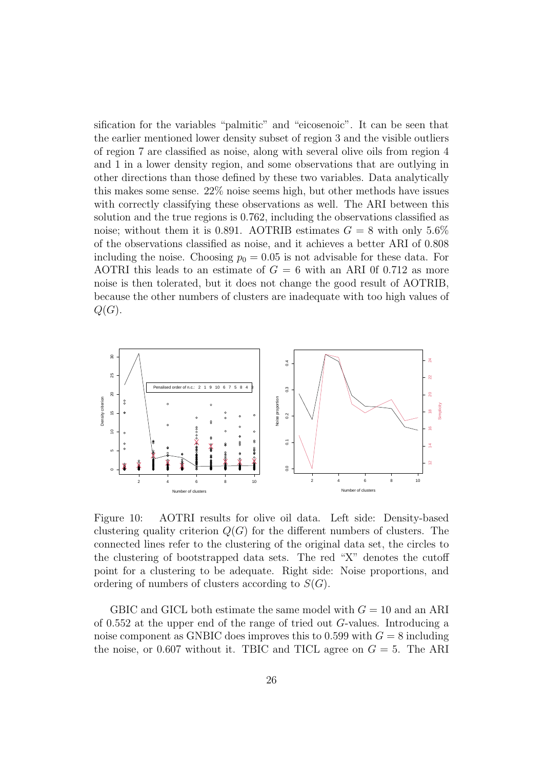sification for the variables "palmitic" and "eicosenoic". It can be seen that the earlier mentioned lower density subset of region 3 and the visible outliers of region 7 are classified as noise, along with several olive oils from region 4 and 1 in a lower density region, and some observations that are outlying in other directions than those defined by these two variables. Data analytically this makes some sense. 22% noise seems high, but other methods have issues with correctly classifying these observations as well. The ARI between this solution and the true regions is 0.762, including the observations classified as noise; without them it is 0.891. AOTRIB estimates  $G = 8$  with only 5.6% of the observations classified as noise, and it achieves a better ARI of 0.808 including the noise. Choosing  $p_0 = 0.05$  is not advisable for these data. For AOTRI this leads to an estimate of  $G = 6$  with an ARI 0f 0.712 as more noise is then tolerated, but it does not change the good result of AOTRIB, because the other numbers of clusters are inadequate with too high values of  $Q(G)$ .



<span id="page-25-0"></span>Figure 10: AOTRI results for olive oil data. Left side: Density-based clustering quality criterion  $Q(G)$  for the different numbers of clusters. The connected lines refer to the clustering of the original data set, the circles to the clustering of bootstrapped data sets. The red "X" denotes the cutoff point for a clustering to be adequate. Right side: Noise proportions, and ordering of numbers of clusters according to  $S(G)$ .

GBIC and GICL both estimate the same model with  $G = 10$  and an ARI of 0.552 at the upper end of the range of tried out G-values. Introducing a noise component as GNBIC does improves this to 0.599 with  $G = 8$  including the noise, or 0.607 without it. TBIC and TICL agree on  $G = 5$ . The ARI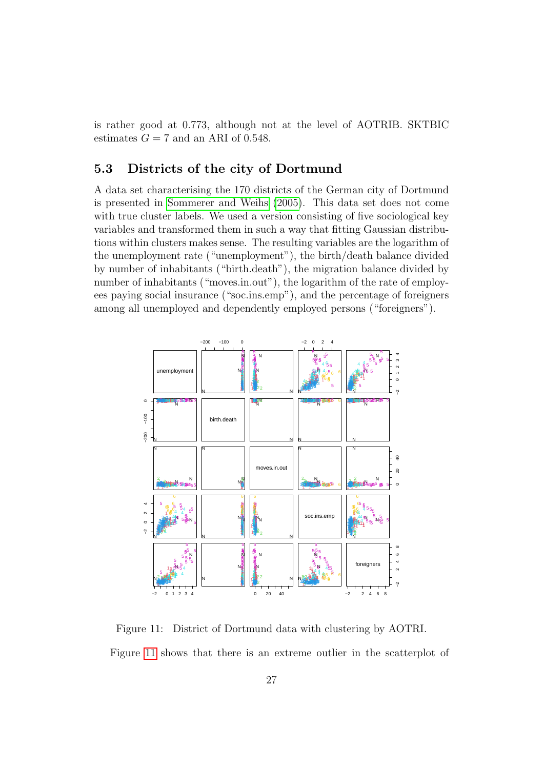is rather good at 0.773, although not at the level of AOTRIB. SKTBIC estimates  $G = 7$  and an ARI of 0.548.

#### <span id="page-26-0"></span>5.3 Districts of the city of Dortmund

A data set characterising the 170 districts of the German city of Dortmund is presented in [Sommerer and Weihs](#page-34-5) [\(2005\)](#page-34-5). This data set does not come with true cluster labels. We used a version consisting of five sociological key variables and transformed them in such a way that fitting Gaussian distributions within clusters makes sense. The resulting variables are the logarithm of the unemployment rate ("unemployment"), the birth/death balance divided by number of inhabitants ("birth.death"), the migration balance divided by number of inhabitants ("moves.in.out"), the logarithm of the rate of employees paying social insurance ("soc.ins.emp"), and the percentage of foreigners among all unemployed and dependently employed persons ("foreigners").



<span id="page-26-1"></span>Figure 11: District of Dortmund data with clustering by AOTRI. Figure [11](#page-26-1) shows that there is an extreme outlier in the scatterplot of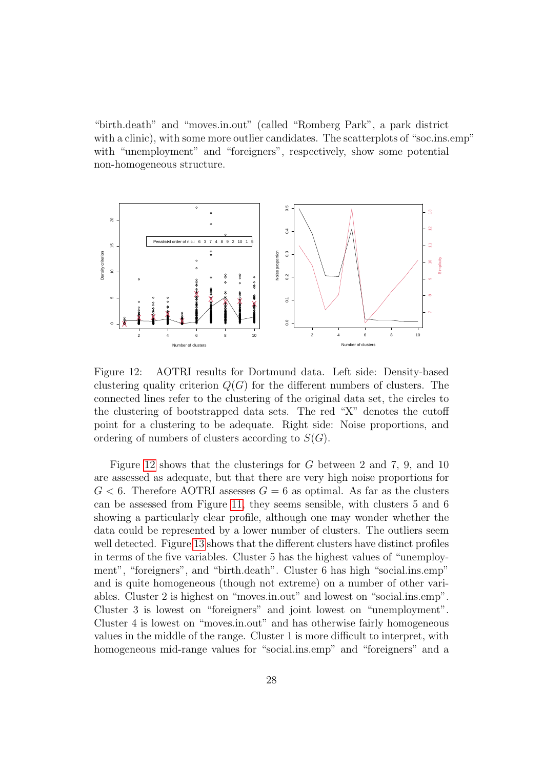"birth.death" and "moves.in.out" (called "Romberg Park", a park district with a clinic), with some more outlier candidates. The scatterplots of "soc.ins.emp" with "unemployment" and "foreigners", respectively, show some potential non-homogeneous structure.



<span id="page-27-0"></span>Figure 12: AOTRI results for Dortmund data. Left side: Density-based clustering quality criterion  $Q(G)$  for the different numbers of clusters. The connected lines refer to the clustering of the original data set, the circles to the clustering of bootstrapped data sets. The red "X" denotes the cutoff point for a clustering to be adequate. Right side: Noise proportions, and ordering of numbers of clusters according to  $S(G)$ .

Figure [12](#page-27-0) shows that the clusterings for G between 2 and 7, 9, and 10 are assessed as adequate, but that there are very high noise proportions for  $G < 6$ . Therefore AOTRI assesses  $G = 6$  as optimal. As far as the clusters can be assessed from Figure [11,](#page-26-1) they seems sensible, with clusters 5 and 6 showing a particularly clear profile, although one may wonder whether the data could be represented by a lower number of clusters. The outliers seem well detected. Figure [13](#page-28-0) shows that the different clusters have distinct profiles in terms of the five variables. Cluster 5 has the highest values of "unemployment", "foreigners", and "birth.death". Cluster 6 has high "social.ins.emp" and is quite homogeneous (though not extreme) on a number of other variables. Cluster 2 is highest on "moves.in.out" and lowest on "social.ins.emp". Cluster 3 is lowest on "foreigners" and joint lowest on "unemployment". Cluster 4 is lowest on "moves.in.out" and has otherwise fairly homogeneous values in the middle of the range. Cluster 1 is more difficult to interpret, with homogeneous mid-range values for "social.ins.emp" and "foreigners" and a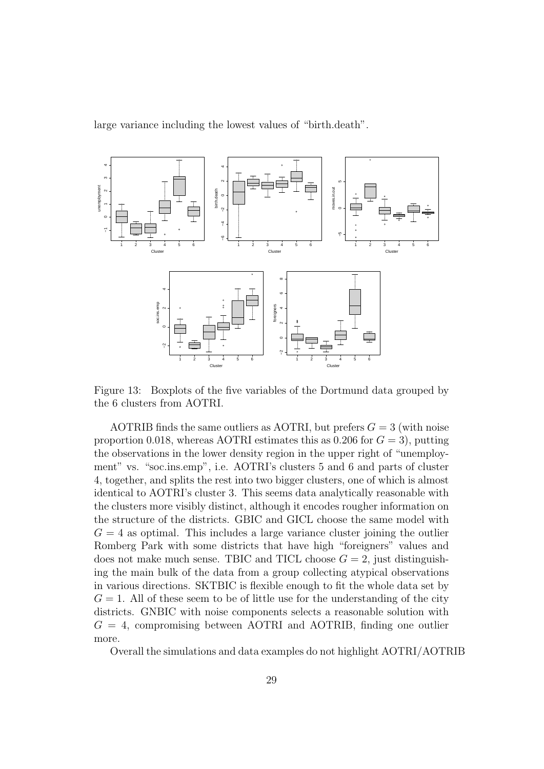large variance including the lowest values of "birth.death".



<span id="page-28-0"></span>Figure 13: Boxplots of the five variables of the Dortmund data grouped by the 6 clusters from AOTRI.

AOTRIB finds the same outliers as AOTRI, but prefers  $G = 3$  (with noise proportion 0.018, whereas AOTRI estimates this as 0.206 for  $G = 3$ , putting the observations in the lower density region in the upper right of "unemployment" vs. "soc.ins.emp", i.e. AOTRI's clusters 5 and 6 and parts of cluster 4, together, and splits the rest into two bigger clusters, one of which is almost identical to AOTRI's cluster 3. This seems data analytically reasonable with the clusters more visibly distinct, although it encodes rougher information on the structure of the districts. GBIC and GICL choose the same model with  $G = 4$  as optimal. This includes a large variance cluster joining the outlier Romberg Park with some districts that have high "foreigners" values and does not make much sense. TBIC and TICL choose  $G = 2$ , just distinguishing the main bulk of the data from a group collecting atypical observations in various directions. SKTBIC is flexible enough to fit the whole data set by  $G = 1$ . All of these seem to be of little use for the understanding of the city districts. GNBIC with noise components selects a reasonable solution with  $G = 4$ , compromising between AOTRI and AOTRIB, finding one outlier more.

Overall the simulations and data examples do not highlight AOTRI/AOTRIB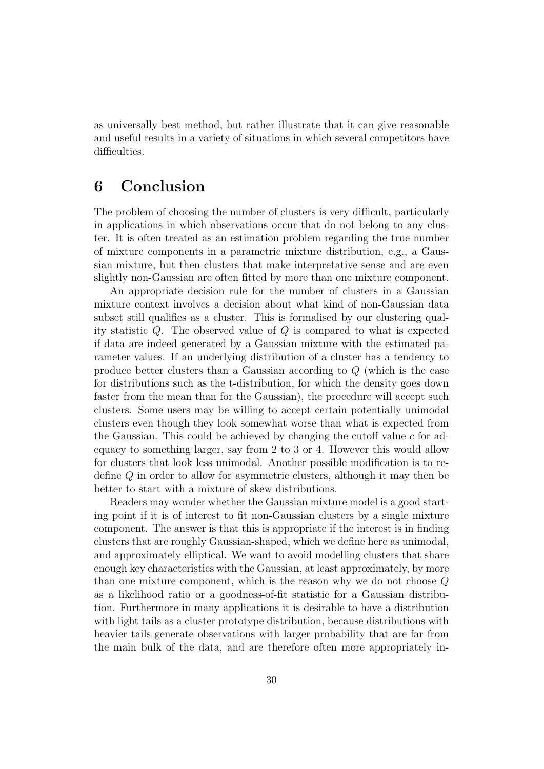as universally best method, but rather illustrate that it can give reasonable and useful results in a variety of situations in which several competitors have difficulties.

## <span id="page-29-0"></span>6 Conclusion

The problem of choosing the number of clusters is very difficult, particularly in applications in which observations occur that do not belong to any cluster. It is often treated as an estimation problem regarding the true number of mixture components in a parametric mixture distribution, e.g., a Gaussian mixture, but then clusters that make interpretative sense and are even slightly non-Gaussian are often fitted by more than one mixture component.

An appropriate decision rule for the number of clusters in a Gaussian mixture context involves a decision about what kind of non-Gaussian data subset still qualifies as a cluster. This is formalised by our clustering quality statistic Q. The observed value of Q is compared to what is expected if data are indeed generated by a Gaussian mixture with the estimated parameter values. If an underlying distribution of a cluster has a tendency to produce better clusters than a Gaussian according to Q (which is the case for distributions such as the t-distribution, for which the density goes down faster from the mean than for the Gaussian), the procedure will accept such clusters. Some users may be willing to accept certain potentially unimodal clusters even though they look somewhat worse than what is expected from the Gaussian. This could be achieved by changing the cutoff value  $c$  for adequacy to something larger, say from 2 to 3 or 4. However this would allow for clusters that look less unimodal. Another possible modification is to redefine Q in order to allow for asymmetric clusters, although it may then be better to start with a mixture of skew distributions.

Readers may wonder whether the Gaussian mixture model is a good starting point if it is of interest to fit non-Gaussian clusters by a single mixture component. The answer is that this is appropriate if the interest is in finding clusters that are roughly Gaussian-shaped, which we define here as unimodal, and approximately elliptical. We want to avoid modelling clusters that share enough key characteristics with the Gaussian, at least approximately, by more than one mixture component, which is the reason why we do not choose Q as a likelihood ratio or a goodness-of-fit statistic for a Gaussian distribution. Furthermore in many applications it is desirable to have a distribution with light tails as a cluster prototype distribution, because distributions with heavier tails generate observations with larger probability that are far from the main bulk of the data, and are therefore often more appropriately in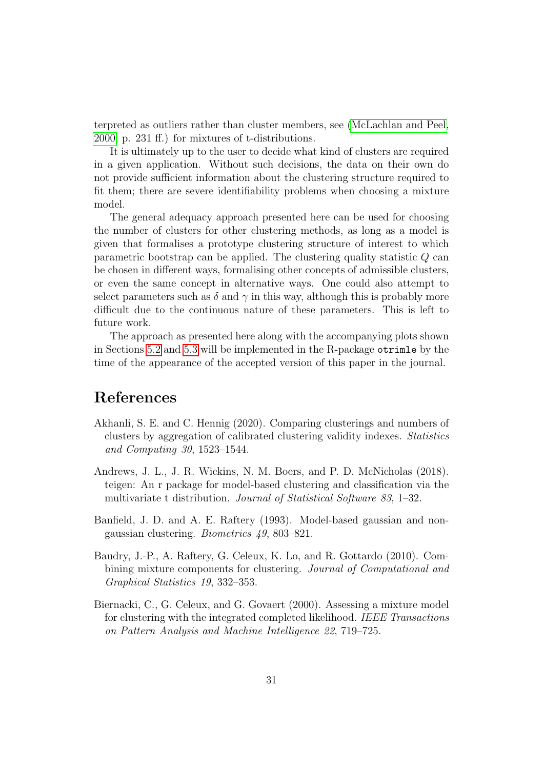terpreted as outliers rather than cluster members, see [\(McLachlan and Peel,](#page-33-12) [2000,](#page-33-12) p. 231 ff.) for mixtures of t-distributions.

It is ultimately up to the user to decide what kind of clusters are required in a given application. Without such decisions, the data on their own do not provide sufficient information about the clustering structure required to fit them; there are severe identifiability problems when choosing a mixture model.

The general adequacy approach presented here can be used for choosing the number of clusters for other clustering methods, as long as a model is given that formalises a prototype clustering structure of interest to which parametric bootstrap can be applied. The clustering quality statistic Q can be chosen in different ways, formalising other concepts of admissible clusters, or even the same concept in alternative ways. One could also attempt to select parameters such as  $\delta$  and  $\gamma$  in this way, although this is probably more difficult due to the continuous nature of these parameters. This is left to future work.

The approach as presented here along with the accompanying plots shown in Sections [5.2](#page-24-0) and [5.3](#page-26-0) will be implemented in the R-package otrimle by the time of the appearance of the accepted version of this paper in the journal.

## References

- <span id="page-30-3"></span>Akhanli, S. E. and C. Hennig (2020). Comparing clusterings and numbers of clusters by aggregation of calibrated clustering validity indexes. Statistics and Computing 30, 1523–1544.
- <span id="page-30-4"></span>Andrews, J. L., J. R. Wickins, N. M. Boers, and P. D. McNicholas (2018). teigen: An r package for model-based clustering and classification via the multivariate t distribution. *Journal of Statistical Software 83*, 1–32.
- <span id="page-30-0"></span>Banfield, J. D. and A. E. Raftery (1993). Model-based gaussian and nongaussian clustering. Biometrics 49, 803–821.
- <span id="page-30-2"></span>Baudry, J.-P., A. Raftery, G. Celeux, K. Lo, and R. Gottardo (2010). Combining mixture components for clustering. Journal of Computational and Graphical Statistics 19, 332–353.
- <span id="page-30-1"></span>Biernacki, C., G. Celeux, and G. Govaert (2000). Assessing a mixture model for clustering with the integrated completed likelihood. IEEE Transactions on Pattern Analysis and Machine Intelligence 22, 719–725.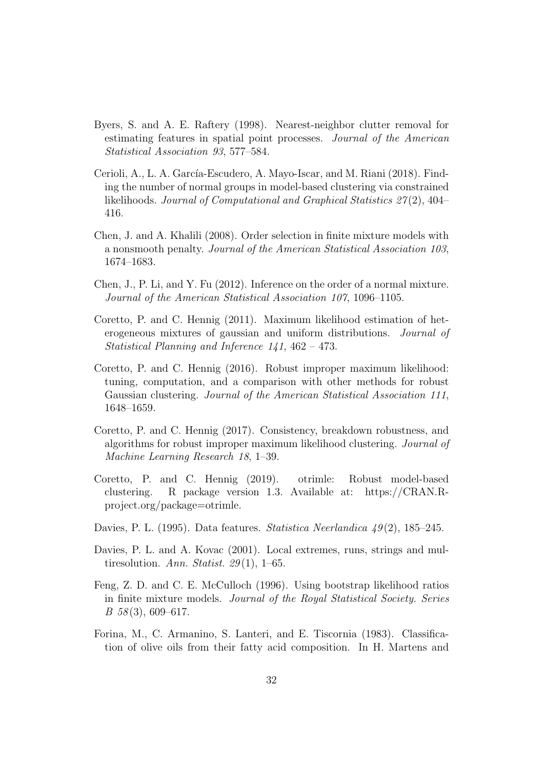- <span id="page-31-10"></span>Byers, S. and A. E. Raftery (1998). Nearest-neighbor clutter removal for estimating features in spatial point processes. Journal of the American Statistical Association 93, 577–584.
- <span id="page-31-8"></span>Cerioli, A., L. A. García-Escudero, A. Mayo-Iscar, and M. Riani (2018). Finding the number of normal groups in model-based clustering via constrained likelihoods. Journal of Computational and Graphical Statistics 27 (2), 404– 416.
- <span id="page-31-4"></span>Chen, J. and A. Khalili (2008). Order selection in finite mixture models with a nonsmooth penalty. Journal of the American Statistical Association 103, 1674–1683.
- <span id="page-31-6"></span>Chen, J., P. Li, and Y. Fu (2012). Inference on the order of a normal mixture. Journal of the American Statistical Association 107, 1096–1105.
- <span id="page-31-7"></span>Coretto, P. and C. Hennig (2011). Maximum likelihood estimation of heterogeneous mixtures of gaussian and uniform distributions. Journal of Statistical Planning and Inference 141, 462 – 473.
- <span id="page-31-0"></span>Coretto, P. and C. Hennig (2016). Robust improper maximum likelihood: tuning, computation, and a comparison with other methods for robust Gaussian clustering. Journal of the American Statistical Association 111, 1648–1659.
- <span id="page-31-1"></span>Coretto, P. and C. Hennig (2017). Consistency, breakdown robustness, and algorithms for robust improper maximum likelihood clustering. Journal of Machine Learning Research 18, 1–39.
- <span id="page-31-9"></span>Coretto, P. and C. Hennig (2019). otrimle: Robust model-based clustering. R package version 1.3. Available at: https://CRAN.Rproject.org/package=otrimle.
- <span id="page-31-2"></span>Davies, P. L. (1995). Data features. Statistica Neerlandica  $\mu$ 9(2), 185–245.
- <span id="page-31-3"></span>Davies, P. L. and A. Kovac (2001). Local extremes, runs, strings and multiresolution. Ann. Statist. 29(1), 1–65.
- <span id="page-31-5"></span>Feng, Z. D. and C. E. McCulloch (1996). Using bootstrap likelihood ratios in finite mixture models. Journal of the Royal Statistical Society. Series  $B\,58(3),\,609-617.$
- <span id="page-31-11"></span>Forina, M., C. Armanino, S. Lanteri, and E. Tiscornia (1983). Classification of olive oils from their fatty acid composition. In H. Martens and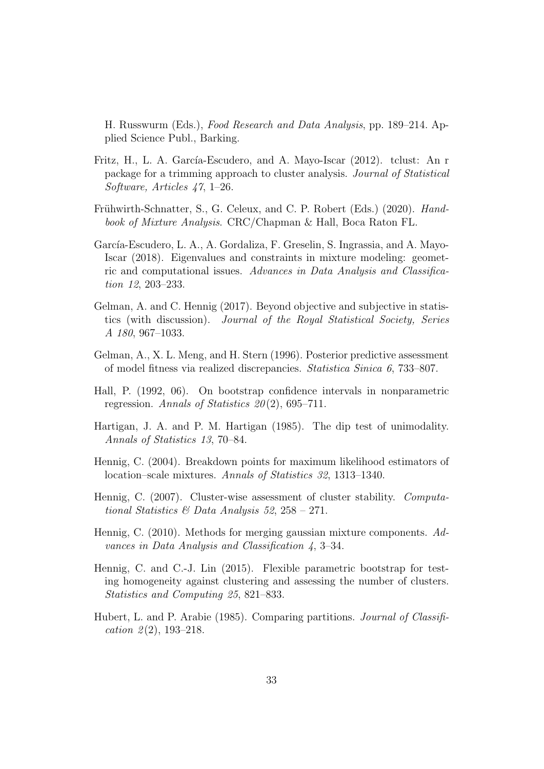H. Russwurm (Eds.), Food Research and Data Analysis, pp. 189–214. Applied Science Publ., Barking.

- <span id="page-32-2"></span>Fritz, H., L. A. García-Escudero, and A. Mayo-Iscar (2012). tclust: An r package for a trimming approach to cluster analysis. Journal of Statistical Software, Articles 47, 1–26.
- <span id="page-32-3"></span>Frühwirth-Schnatter, S., G. Celeux, and C. P. Robert (Eds.) (2020). Handbook of Mixture Analysis. CRC/Chapman & Hall, Boca Raton FL.
- <span id="page-32-1"></span>García-Escudero, L. A., A. Gordaliza, F. Greselin, S. Ingrassia, and A. Mayo-Iscar (2018). Eigenvalues and constraints in mixture modeling: geometric and computational issues. Advances in Data Analysis and Classification 12, 203-233.
- <span id="page-32-7"></span>Gelman, A. and C. Hennig (2017). Beyond objective and subjective in statistics (with discussion). Journal of the Royal Statistical Society, Series A 180, 967–1033.
- <span id="page-32-5"></span>Gelman, A., X. L. Meng, and H. Stern (1996). Posterior predictive assessment of model fitness via realized discrepancies. Statistica Sinica 6, 733–807.
- <span id="page-32-8"></span>Hall, P. (1992, 06). On bootstrap confidence intervals in nonparametric regression. Annals of Statistics  $20(2)$ , 695–711.
- <span id="page-32-9"></span>Hartigan, J. A. and P. M. Hartigan (1985). The dip test of unimodality. Annals of Statistics 13, 70–84.
- <span id="page-32-6"></span>Hennig, C. (2004). Breakdown points for maximum likelihood estimators of location–scale mixtures. Annals of Statistics 32, 1313–1340.
- <span id="page-32-11"></span>Hennig, C. (2007). Cluster-wise assessment of cluster stability. Computational Statistics & Data Analysis 52,  $258 - 271$ .
- <span id="page-32-0"></span>Hennig, C. (2010). Methods for merging gaussian mixture components. Advances in Data Analysis and Classification 4, 3–34.
- <span id="page-32-4"></span>Hennig, C. and C.-J. Lin (2015). Flexible parametric bootstrap for testing homogeneity against clustering and assessing the number of clusters. Statistics and Computing 25, 821–833.
- <span id="page-32-10"></span>Hubert, L. and P. Arabie (1985). Comparing partitions. Journal of Classification  $2(2)$ , 193-218.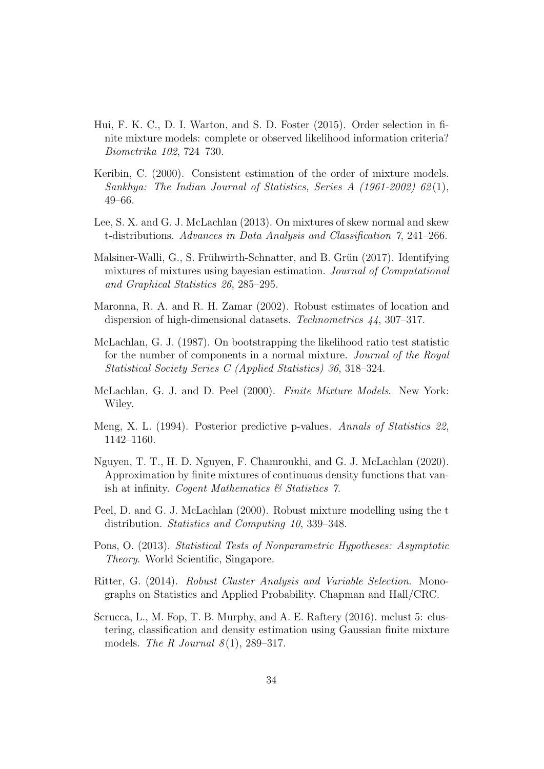- <span id="page-33-4"></span>Hui, F. K. C., D. I. Warton, and S. D. Foster (2015). Order selection in finite mixture models: complete or observed likelihood information criteria? Biometrika 102, 724–730.
- <span id="page-33-2"></span>Keribin, C. (2000). Consistent estimation of the order of mixture models. Sankhya: The Indian Journal of Statistics, Series A (1961-2002) 62 (1), 49–66.
- <span id="page-33-9"></span>Lee, S. X. and G. J. McLachlan (2013). On mixtures of skew normal and skew t-distributions. Advances in Data Analysis and Classification 7, 241–266.
- <span id="page-33-5"></span>Malsiner-Walli, G., S. Frühwirth-Schnatter, and B. Grün (2017). Identifying mixtures of mixtures using bayesian estimation. Journal of Computational and Graphical Statistics 26, 285–295.
- <span id="page-33-11"></span>Maronna, R. A. and R. H. Zamar (2002). Robust estimates of location and dispersion of high-dimensional datasets. Technometrics 44, 307–317.
- <span id="page-33-0"></span>McLachlan, G. J. (1987). On bootstrapping the likelihood ratio test statistic for the number of components in a normal mixture. Journal of the Royal Statistical Society Series C (Applied Statistics) 36, 318–324.
- <span id="page-33-12"></span>McLachlan, G. J. and D. Peel (2000). Finite Mixture Models. New York: Wiley.
- <span id="page-33-7"></span>Meng, X. L. (1994). Posterior predictive p-values. Annals of Statistics 22, 1142–1160.
- <span id="page-33-3"></span>Nguyen, T. T., H. D. Nguyen, F. Chamroukhi, and G. J. McLachlan (2020). Approximation by finite mixtures of continuous density functions that vanish at infinity. Cogent Mathematics  $\mathcal C$  Statistics 7.
- <span id="page-33-8"></span>Peel, D. and G. J. McLachlan (2000). Robust mixture modelling using the t distribution. Statistics and Computing 10, 339–348.
- <span id="page-33-10"></span>Pons, O. (2013). Statistical Tests of Nonparametric Hypotheses: Asymptotic Theory. World Scientific, Singapore.
- <span id="page-33-6"></span>Ritter, G. (2014). Robust Cluster Analysis and Variable Selection. Monographs on Statistics and Applied Probability. Chapman and Hall/CRC.
- <span id="page-33-1"></span>Scrucca, L., M. Fop, T. B. Murphy, and A. E. Raftery (2016). mclust 5: clustering, classification and density estimation using Gaussian finite mixture models. The R Journal  $8(1)$ , 289–317.